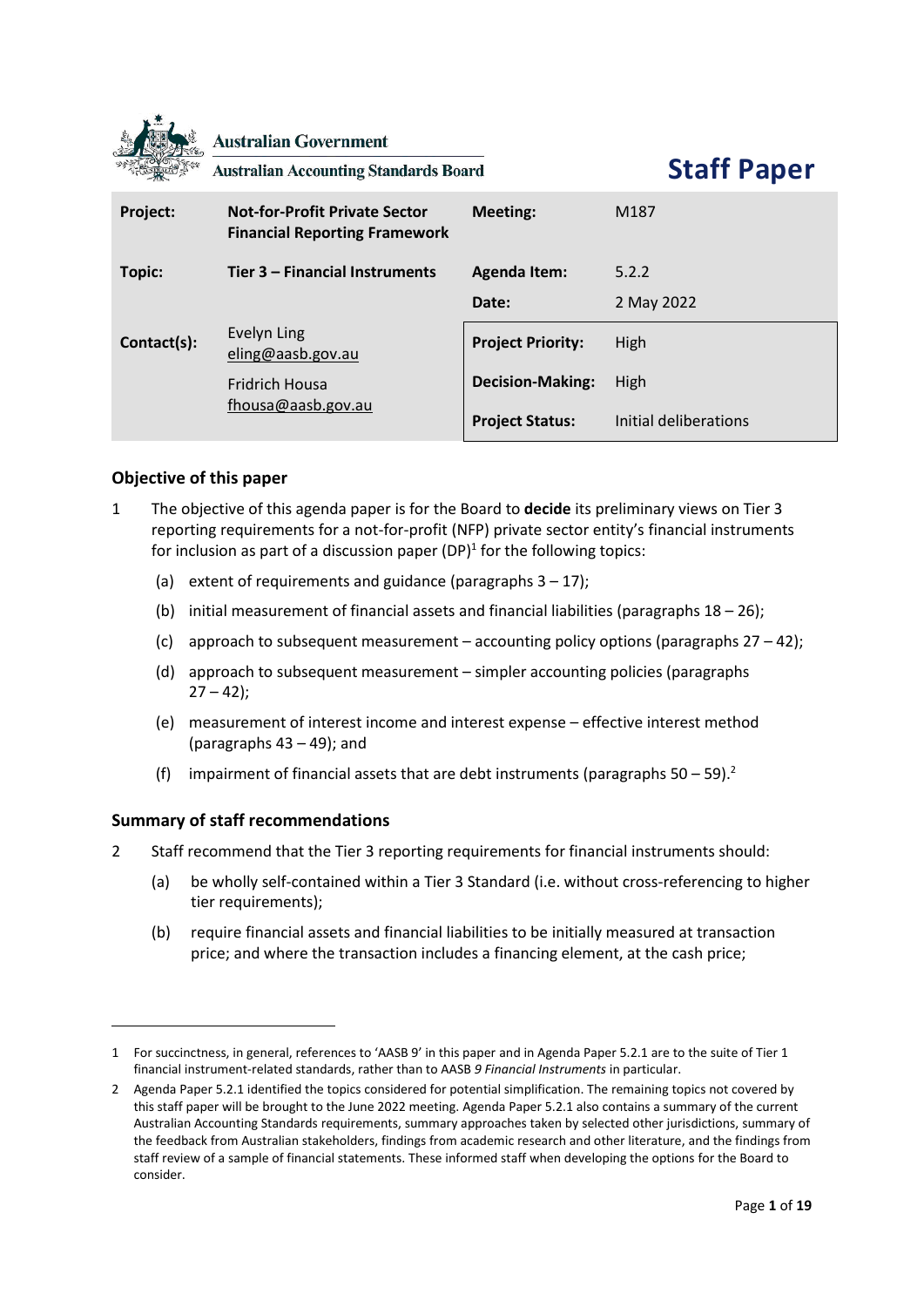

**Australian Government** 

**Australian Accounting Standards Board** 

**Staff Paper**

| Project:    | <b>Not-for-Profit Private Sector</b><br><b>Financial Reporting Framework</b> | <b>Meeting:</b>          | M <sub>187</sub>      |
|-------------|------------------------------------------------------------------------------|--------------------------|-----------------------|
| Topic:      | Tier 3 – Financial Instruments                                               | <b>Agenda Item:</b>      | 5.2.2                 |
|             |                                                                              | Date:                    | 2 May 2022            |
| Contact(s): | Evelyn Ling<br>eling@aasb.gov.au                                             | <b>Project Priority:</b> | High                  |
|             | <b>Fridrich Housa</b>                                                        | <b>Decision-Making:</b>  | High                  |
|             | fhousa@aasb.gov.au                                                           | <b>Project Status:</b>   | Initial deliberations |

## **Objective of this paper**

- 1 The objective of this agenda paper is for the Board to **decide** its preliminary views on Tier 3 reporting requirements for a not-for-profit (NFP) private sector entity's financial instruments for inclusion as part of a discussion paper (DP)<sup>1</sup> for the following topics:
	- (a) extent of requirements and guidance (paragraphs  $3 17$ );
	- (b) initial measurement of financial assets and financial liabilities (paragraphs  $18 26$ );
	- (c) approach to subsequent measurement accounting policy options (paragraphs  $27 42$ );
	- (d) approach to subsequent measurement simpler accounting policies (paragraphs  $27 - 42$ );
	- (e) measurement of interest income and interest expense effective interest method (paragraphs 43 – 49); and
	- (f) impairment of financial assets that are debt instruments (paragraphs  $50 59$ ).<sup>2</sup>

# **Summary of staff recommendations**

- 2 Staff recommend that the Tier 3 reporting requirements for financial instruments should:
	- (a) be wholly self-contained within a Tier 3 Standard (i.e. without cross-referencing to higher tier requirements);
	- (b) require financial assets and financial liabilities to be initially measured at transaction price; and where the transaction includes a financing element, at the cash price;

<sup>1</sup> For succinctness, in general, references to 'AASB 9' in this paper and in Agenda Paper 5.2.1 are to the suite of Tier 1 financial instrument-related standards, rather than to AASB *9 Financial Instruments* in particular.

<sup>2</sup> Agenda Paper 5.2.1 identified the topics considered for potential simplification. The remaining topics not covered by this staff paper will be brought to the June 2022 meeting. Agenda Paper 5.2.1 also contains a summary of the current Australian Accounting Standards requirements, summary approaches taken by selected other jurisdictions, summary of the feedback from Australian stakeholders, findings from academic research and other literature, and the findings from staff review of a sample of financial statements. These informed staff when developing the options for the Board to consider.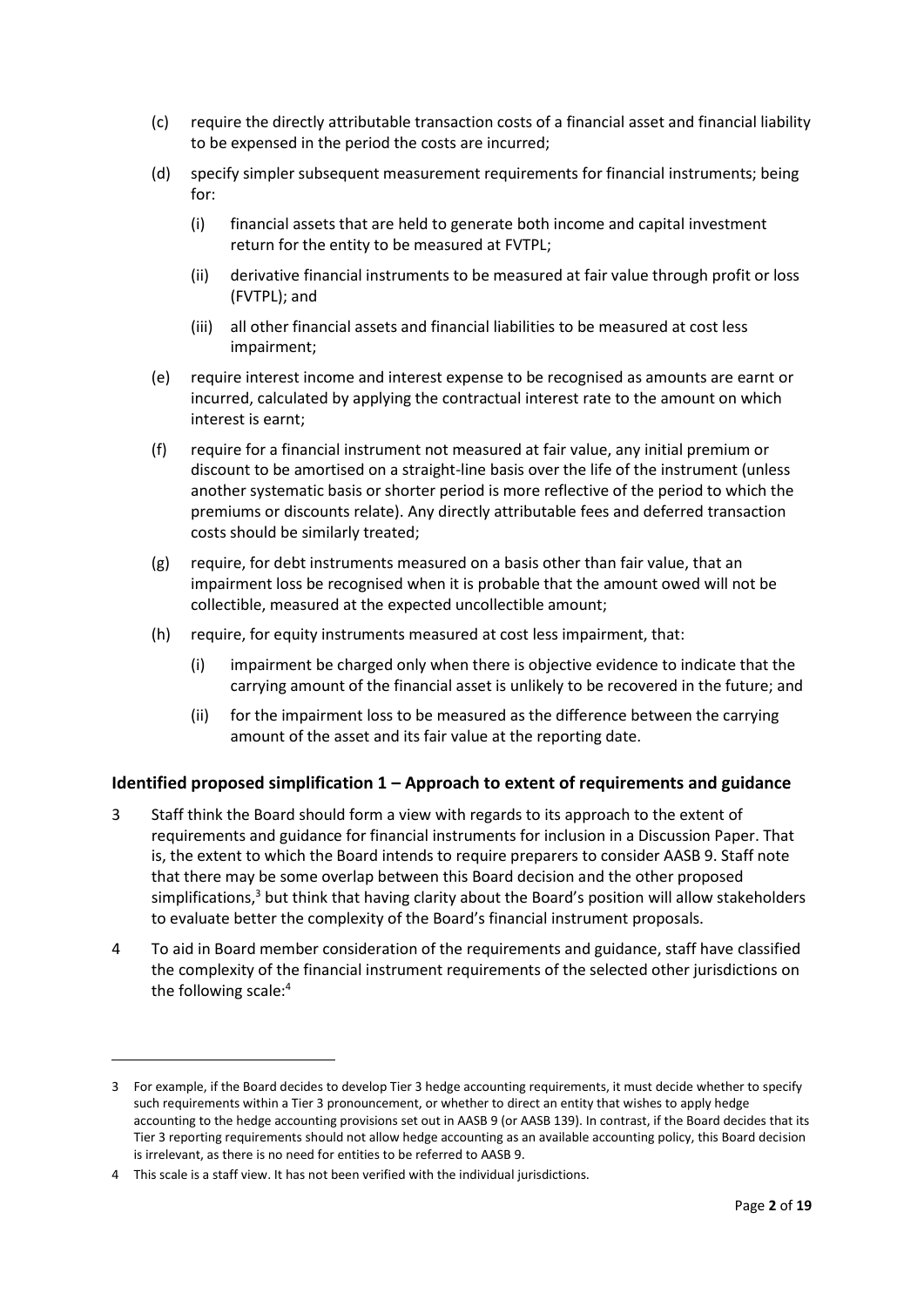- (c) require the directly attributable transaction costs of a financial asset and financial liability to be expensed in the period the costs are incurred;
- (d) specify simpler subsequent measurement requirements for financial instruments; being for:
	- (i) financial assets that are held to generate both income and capital investment return for the entity to be measured at FVTPL;
	- (ii) derivative financial instruments to be measured at fair value through profit or loss (FVTPL); and
	- (iii) all other financial assets and financial liabilities to be measured at cost less impairment;
- (e) require interest income and interest expense to be recognised as amounts are earnt or incurred, calculated by applying the contractual interest rate to the amount on which interest is earnt;
- (f) require for a financial instrument not measured at fair value, any initial premium or discount to be amortised on a straight-line basis over the life of the instrument (unless another systematic basis or shorter period is more reflective of the period to which the premiums or discounts relate). Any directly attributable fees and deferred transaction costs should be similarly treated;
- (g) require, for debt instruments measured on a basis other than fair value, that an impairment loss be recognised when it is probable that the amount owed will not be collectible, measured at the expected uncollectible amount;
- (h) require, for equity instruments measured at cost less impairment, that:
	- (i) impairment be charged only when there is objective evidence to indicate that the carrying amount of the financial asset is unlikely to be recovered in the future; and
	- (ii) for the impairment loss to be measured as the difference between the carrying amount of the asset and its fair value at the reporting date.

# **Identified proposed simplification 1 – Approach to extent of requirements and guidance**

- 3 Staff think the Board should form a view with regards to its approach to the extent of requirements and guidance for financial instruments for inclusion in a Discussion Paper. That is, the extent to which the Board intends to require preparers to consider AASB 9. Staff note that there may be some overlap between this Board decision and the other proposed simplifications,<sup>3</sup> but think that having clarity about the Board's position will allow stakeholders to evaluate better the complexity of the Board's financial instrument proposals.
- 4 To aid in Board member consideration of the requirements and guidance, staff have classified the complexity of the financial instrument requirements of the selected other jurisdictions on the following scale: 4

<sup>3</sup> For example, if the Board decides to develop Tier 3 hedge accounting requirements, it must decide whether to specify such requirements within a Tier 3 pronouncement, or whether to direct an entity that wishes to apply hedge accounting to the hedge accounting provisions set out in AASB 9 (or AASB 139). In contrast, if the Board decides that its Tier 3 reporting requirements should not allow hedge accounting as an available accounting policy, this Board decision is irrelevant, as there is no need for entities to be referred to AASB 9.

<sup>4</sup> This scale is a staff view. It has not been verified with the individual jurisdictions.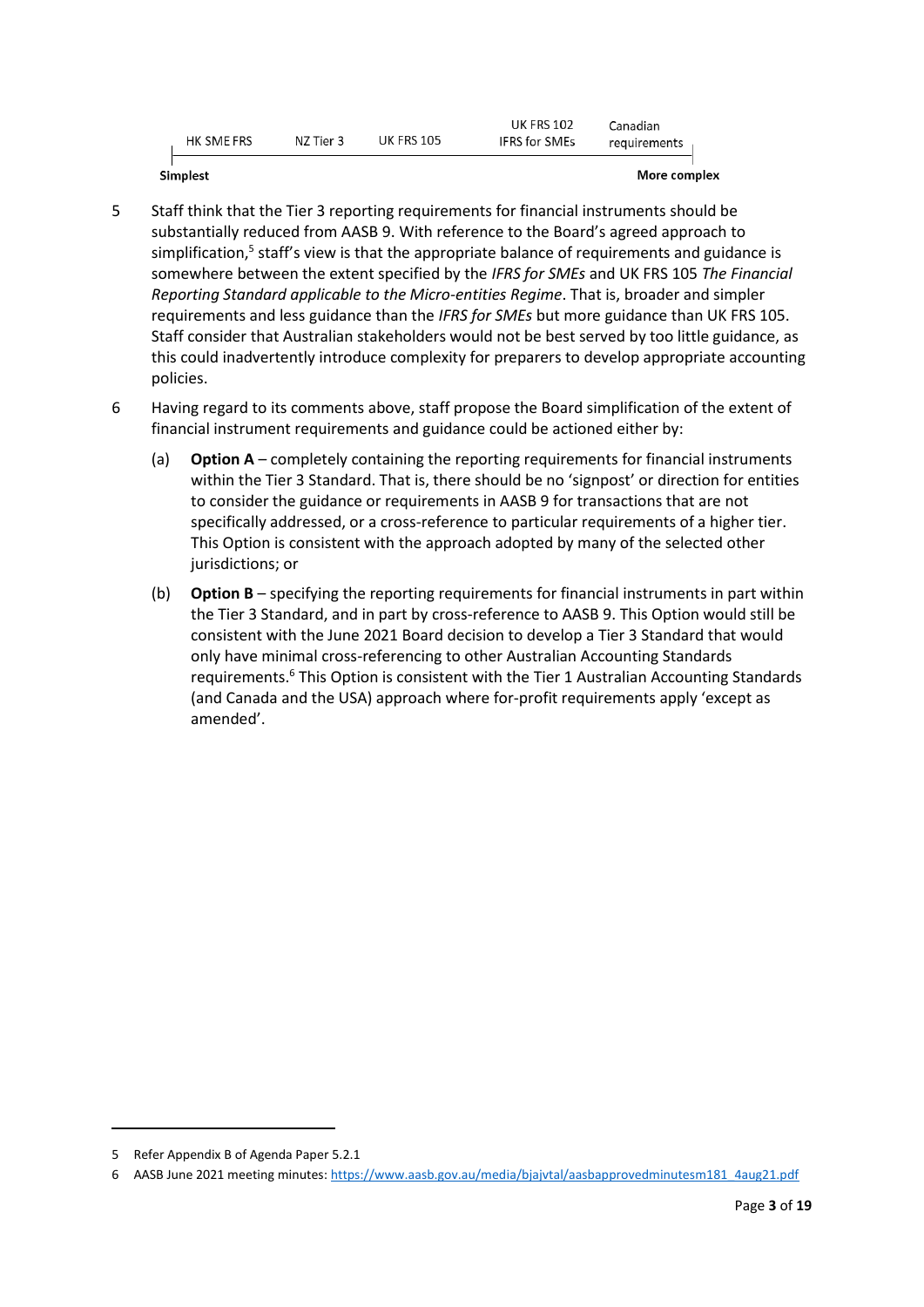|            |           |            | UK FRS 102           | Ianadian     |
|------------|-----------|------------|----------------------|--------------|
| HK SME FRS | NZ Tier 3 | UK FRS 105 | <b>IFRS</b> for SMEs | requirements |

Simplest

More complex

- 5 Staff think that the Tier 3 reporting requirements for financial instruments should be substantially reduced from AASB 9. With reference to the Board's agreed approach to simplification,<sup>5</sup> staff's view is that the appropriate balance of requirements and guidance is somewhere between the extent specified by the *IFRS for SMEs* and UK FRS 105 *The Financial Reporting Standard applicable to the Micro-entities Regime*. That is, broader and simpler requirements and less guidance than the *IFRS for SMEs* but more guidance than UK FRS 105. Staff consider that Australian stakeholders would not be best served by too little guidance, as this could inadvertently introduce complexity for preparers to develop appropriate accounting policies.
- 6 Having regard to its comments above, staff propose the Board simplification of the extent of financial instrument requirements and guidance could be actioned either by:
	- (a) **Option A** completely containing the reporting requirements for financial instruments within the Tier 3 Standard. That is, there should be no 'signpost' or direction for entities to consider the guidance or requirements in AASB 9 for transactions that are not specifically addressed, or a cross-reference to particular requirements of a higher tier. This Option is consistent with the approach adopted by many of the selected other jurisdictions; or
	- (b) **Option B** specifying the reporting requirements for financial instruments in part within the Tier 3 Standard, and in part by cross-reference to AASB 9. This Option would still be consistent with the June 2021 Board decision to develop a Tier 3 Standard that would only have minimal cross-referencing to other Australian Accounting Standards requirements.<sup>6</sup> This Option is consistent with the Tier 1 Australian Accounting Standards (and Canada and the USA) approach where for-profit requirements apply 'except as amended'.

<sup>5</sup> Refer Appendix B of Agenda Paper 5.2.1

<sup>6</sup> AASB June 2021 meeting minutes[: https://www.aasb.gov.au/media/bjajvtal/aasbapprovedminutesm181\\_4aug21.pdf](https://www.aasb.gov.au/media/bjajvtal/aasbapprovedminutesm181_4aug21.pdf)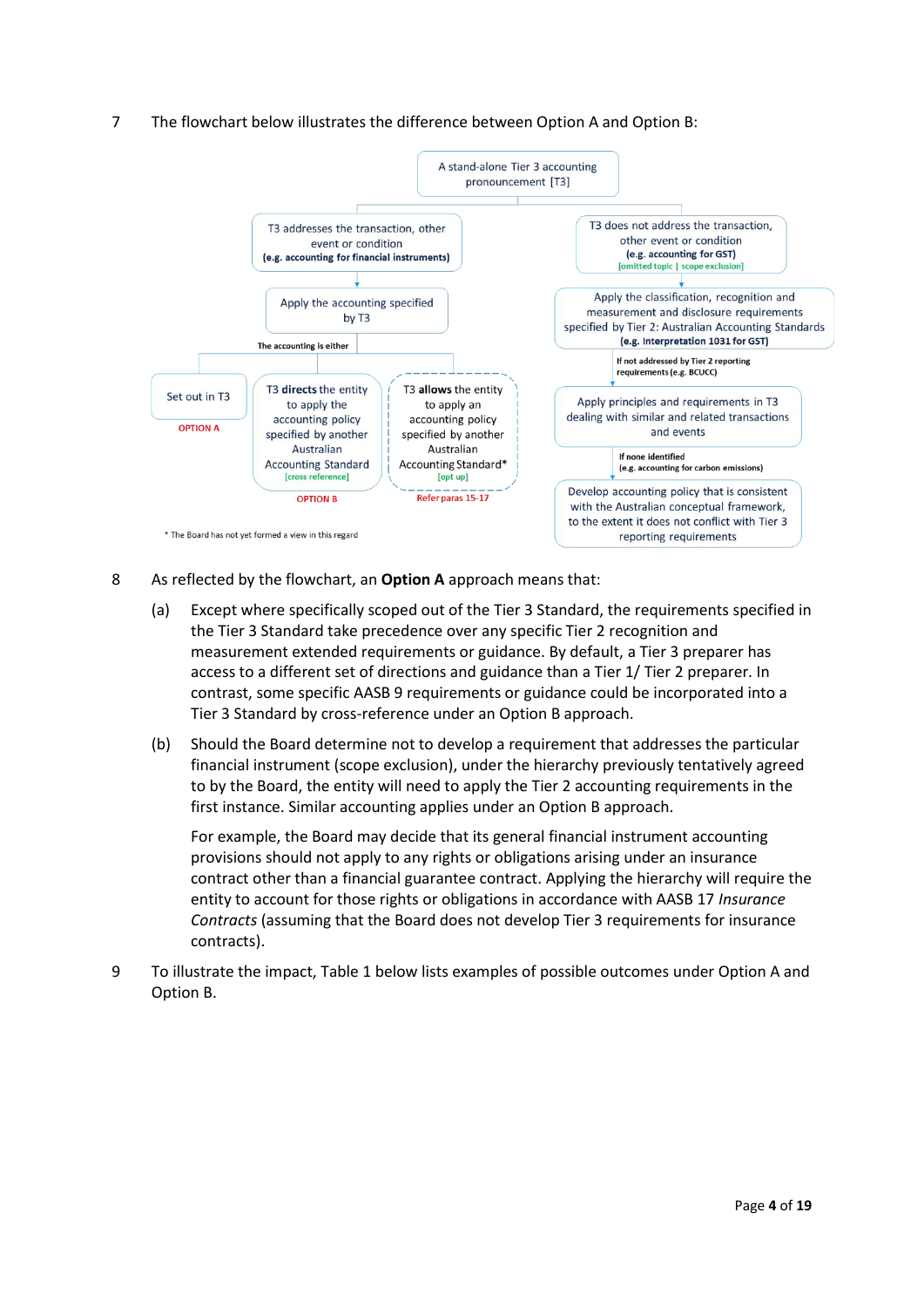<span id="page-3-0"></span>7 The flowchart below illustrates the difference between Option A and Option B:



- 8 As reflected by the flowchart, an **Option A** approach means that:
	- (a) Except where specifically scoped out of the Tier 3 Standard, the requirements specified in the Tier 3 Standard take precedence over any specific Tier 2 recognition and measurement extended requirements or guidance. By default, a Tier 3 preparer has access to a different set of directions and guidance than a Tier 1/ Tier 2 preparer. In contrast, some specific AASB 9 requirements or guidance could be incorporated into a Tier 3 Standard by cross-reference under an Option B approach.
	- (b) Should the Board determine not to develop a requirement that addresses the particular financial instrument (scope exclusion), under the hierarchy previously tentatively agreed to by the Board, the entity will need to apply the Tier 2 accounting requirements in the first instance. Similar accounting applies under an Option B approach.

For example, the Board may decide that its general financial instrument accounting provisions should not apply to any rights or obligations arising under an insurance contract other than a financial guarantee contract. Applying the hierarchy will require the entity to account for those rights or obligations in accordance with AASB 17 *Insurance Contracts* (assuming that the Board does not develop Tier 3 requirements for insurance contracts).

9 To illustrate the impact, Table 1 below lists examples of possible outcomes under Option A and Option B.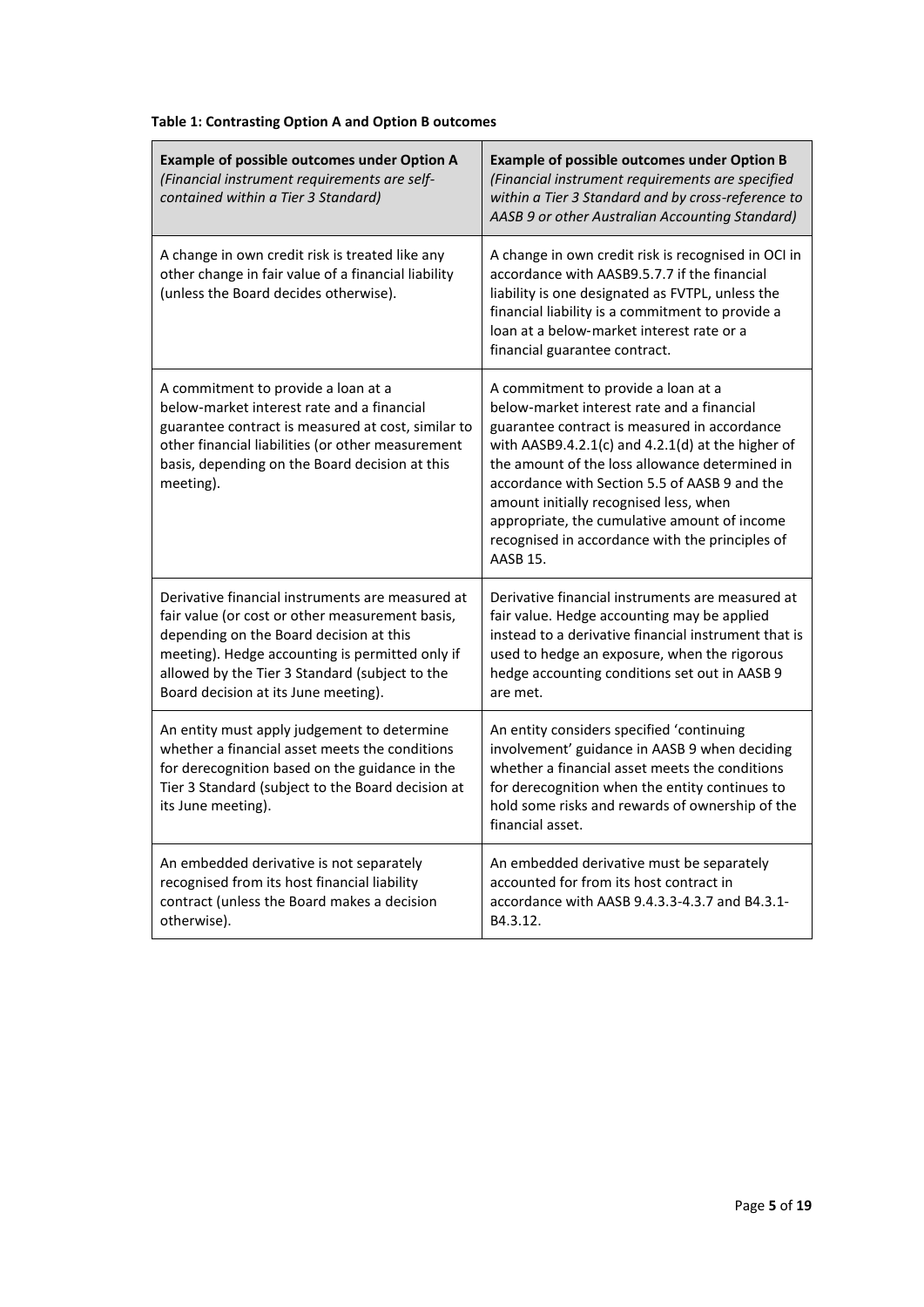# **Table 1: Contrasting Option A and Option B outcomes**

| <b>Example of possible outcomes under Option A</b><br>(Financial instrument requirements are self-<br>contained within a Tier 3 Standard)                                                                                                                                                   | <b>Example of possible outcomes under Option B</b><br>(Financial instrument requirements are specified<br>within a Tier 3 Standard and by cross-reference to<br>AASB 9 or other Australian Accounting Standard)                                                                                                                                                                                                                                             |
|---------------------------------------------------------------------------------------------------------------------------------------------------------------------------------------------------------------------------------------------------------------------------------------------|-------------------------------------------------------------------------------------------------------------------------------------------------------------------------------------------------------------------------------------------------------------------------------------------------------------------------------------------------------------------------------------------------------------------------------------------------------------|
| A change in own credit risk is treated like any<br>other change in fair value of a financial liability<br>(unless the Board decides otherwise).                                                                                                                                             | A change in own credit risk is recognised in OCI in<br>accordance with AASB9.5.7.7 if the financial<br>liability is one designated as FVTPL, unless the<br>financial liability is a commitment to provide a<br>loan at a below-market interest rate or a<br>financial guarantee contract.                                                                                                                                                                   |
| A commitment to provide a loan at a<br>below-market interest rate and a financial<br>guarantee contract is measured at cost, similar to<br>other financial liabilities (or other measurement<br>basis, depending on the Board decision at this<br>meeting).                                 | A commitment to provide a loan at a<br>below-market interest rate and a financial<br>guarantee contract is measured in accordance<br>with AASB9.4.2.1(c) and $4.2.1(d)$ at the higher of<br>the amount of the loss allowance determined in<br>accordance with Section 5.5 of AASB 9 and the<br>amount initially recognised less, when<br>appropriate, the cumulative amount of income<br>recognised in accordance with the principles of<br><b>AASB 15.</b> |
| Derivative financial instruments are measured at<br>fair value (or cost or other measurement basis,<br>depending on the Board decision at this<br>meeting). Hedge accounting is permitted only if<br>allowed by the Tier 3 Standard (subject to the<br>Board decision at its June meeting). | Derivative financial instruments are measured at<br>fair value. Hedge accounting may be applied<br>instead to a derivative financial instrument that is<br>used to hedge an exposure, when the rigorous<br>hedge accounting conditions set out in AASB 9<br>are met.                                                                                                                                                                                        |
| An entity must apply judgement to determine<br>whether a financial asset meets the conditions<br>for derecognition based on the guidance in the<br>Tier 3 Standard (subject to the Board decision at<br>its June meeting).                                                                  | An entity considers specified 'continuing<br>involvement' guidance in AASB 9 when deciding<br>whether a financial asset meets the conditions<br>for derecognition when the entity continues to<br>hold some risks and rewards of ownership of the<br>financial asset.                                                                                                                                                                                       |
| An embedded derivative is not separately<br>recognised from its host financial liability<br>contract (unless the Board makes a decision<br>otherwise).                                                                                                                                      | An embedded derivative must be separately<br>accounted for from its host contract in<br>accordance with AASB 9.4.3.3-4.3.7 and B4.3.1-<br>B4.3.12.                                                                                                                                                                                                                                                                                                          |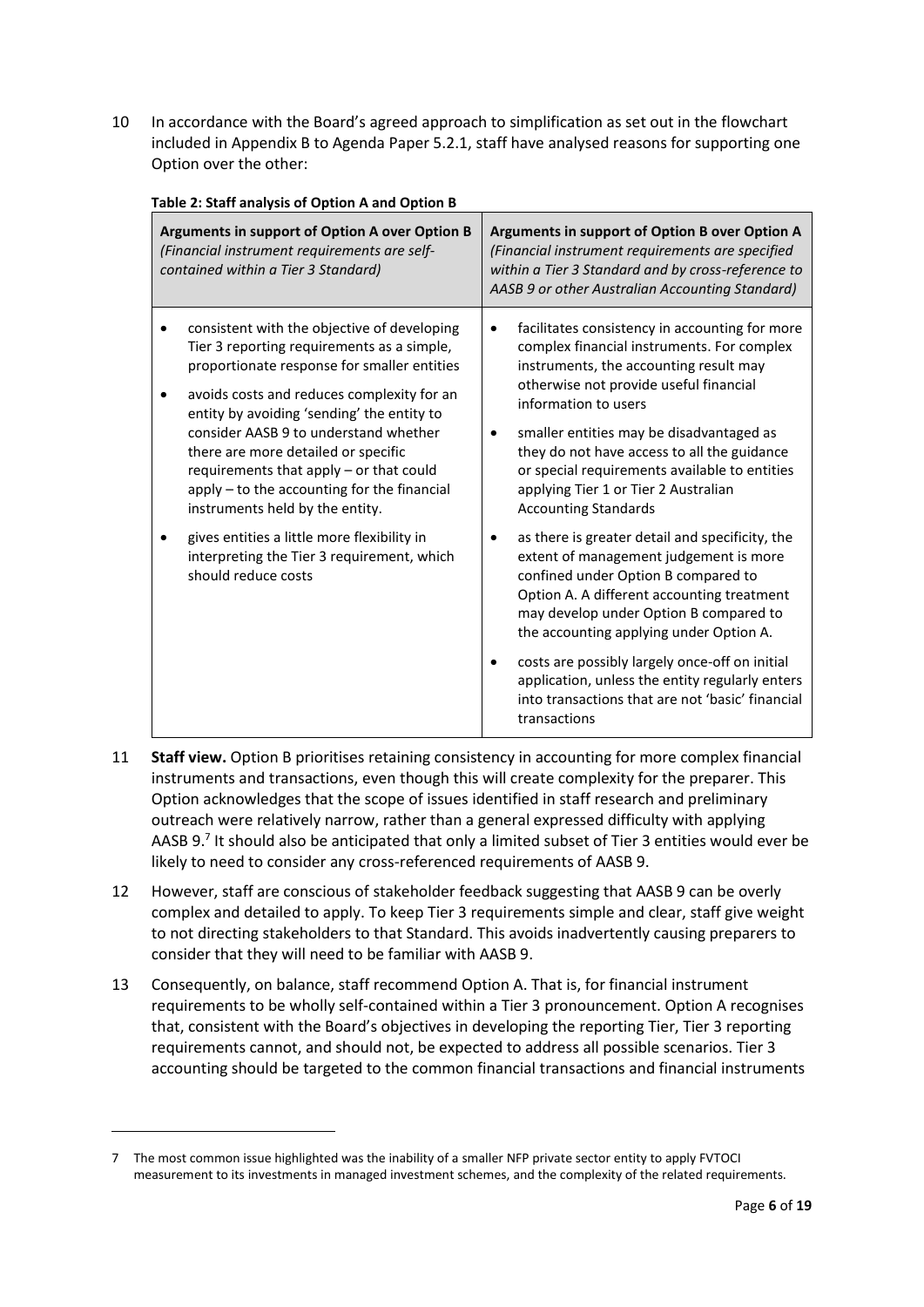10 In accordance with the Board's agreed approach to simplification as set out in the flowchart included in Appendix B to Agenda Paper 5.2.1, staff have analysed reasons for supporting one Option over the other:

| Arguments in support of Option A over Option B<br>(Financial instrument requirements are self-<br>contained within a Tier 3 Standard)                                                                                                                                                                                                                                                                                                                                                                                                                                              | Arguments in support of Option B over Option A<br>(Financial instrument requirements are specified<br>within a Tier 3 Standard and by cross-reference to<br>AASB 9 or other Australian Accounting Standard)                                                                                                                                                                                                                                                                                                                                                                                                                                                                                                                                                                                                                                                                      |
|------------------------------------------------------------------------------------------------------------------------------------------------------------------------------------------------------------------------------------------------------------------------------------------------------------------------------------------------------------------------------------------------------------------------------------------------------------------------------------------------------------------------------------------------------------------------------------|----------------------------------------------------------------------------------------------------------------------------------------------------------------------------------------------------------------------------------------------------------------------------------------------------------------------------------------------------------------------------------------------------------------------------------------------------------------------------------------------------------------------------------------------------------------------------------------------------------------------------------------------------------------------------------------------------------------------------------------------------------------------------------------------------------------------------------------------------------------------------------|
| consistent with the objective of developing<br>Tier 3 reporting requirements as a simple,<br>proportionate response for smaller entities<br>avoids costs and reduces complexity for an<br>$\bullet$<br>entity by avoiding 'sending' the entity to<br>consider AASB 9 to understand whether<br>there are more detailed or specific<br>requirements that apply - or that could<br>apply - to the accounting for the financial<br>instruments held by the entity.<br>gives entities a little more flexibility in<br>interpreting the Tier 3 requirement, which<br>should reduce costs | facilitates consistency in accounting for more<br>٠<br>complex financial instruments. For complex<br>instruments, the accounting result may<br>otherwise not provide useful financial<br>information to users<br>smaller entities may be disadvantaged as<br>they do not have access to all the guidance<br>or special requirements available to entities<br>applying Tier 1 or Tier 2 Australian<br><b>Accounting Standards</b><br>as there is greater detail and specificity, the<br>extent of management judgement is more<br>confined under Option B compared to<br>Option A. A different accounting treatment<br>may develop under Option B compared to<br>the accounting applying under Option A.<br>costs are possibly largely once-off on initial<br>application, unless the entity regularly enters<br>into transactions that are not 'basic' financial<br>transactions |

**Table 2: Staff analysis of Option A and Option B**

- 11 **Staff view.** Option B prioritises retaining consistency in accounting for more complex financial instruments and transactions, even though this will create complexity for the preparer. This Option acknowledges that the scope of issues identified in staff research and preliminary outreach were relatively narrow, rather than a general expressed difficulty with applying AASB 9.<sup>7</sup> It should also be anticipated that only a limited subset of Tier 3 entities would ever be likely to need to consider any cross-referenced requirements of AASB 9.
- 12 However, staff are conscious of stakeholder feedback suggesting that AASB 9 can be overly complex and detailed to apply. To keep Tier 3 requirements simple and clear, staff give weight to not directing stakeholders to that Standard. This avoids inadvertently causing preparers to consider that they will need to be familiar with AASB 9.
- 13 Consequently, on balance, staff recommend Option A. That is, for financial instrument requirements to be wholly self-contained within a Tier 3 pronouncement. Option A recognises that, consistent with the Board's objectives in developing the reporting Tier, Tier 3 reporting requirements cannot, and should not, be expected to address all possible scenarios. Tier 3 accounting should be targeted to the common financial transactions and financial instruments

<sup>7</sup> The most common issue highlighted was the inability of a smaller NFP private sector entity to apply FVTOCI measurement to its investments in managed investment schemes, and the complexity of the related requirements.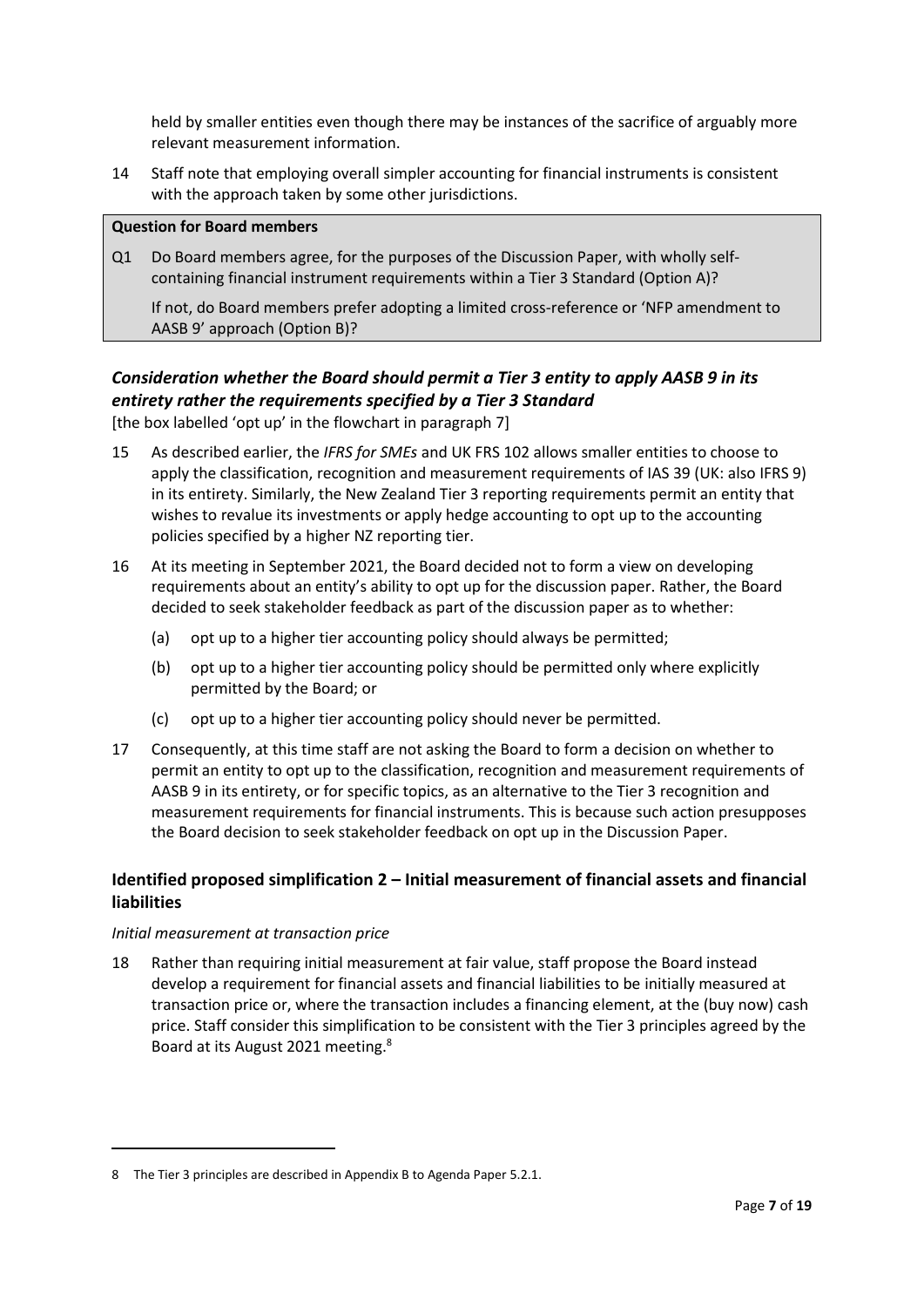held by smaller entities even though there may be instances of the sacrifice of arguably more relevant measurement information.

14 Staff note that employing overall simpler accounting for financial instruments is consistent with the approach taken by some other jurisdictions.

#### **Question for Board members**

Q1 Do Board members agree, for the purposes of the Discussion Paper, with wholly selfcontaining financial instrument requirements within a Tier 3 Standard (Option A)?

If not, do Board members prefer adopting a limited cross-reference or 'NFP amendment to AASB 9' approach (Option B)?

# *Consideration whether the Board should permit a Tier 3 entity to apply AASB 9 in its entirety rather the requirements specified by a Tier 3 Standard*

[the box labelled 'opt up' in the flowchart in paragraph [7\]](#page-3-0)

- 15 As described earlier, the *IFRS for SMEs* and UK FRS 102 allows smaller entities to choose to apply the classification, recognition and measurement requirements of IAS 39 (UK: also IFRS 9) in its entirety. Similarly, the New Zealand Tier 3 reporting requirements permit an entity that wishes to revalue its investments or apply hedge accounting to opt up to the accounting policies specified by a higher NZ reporting tier.
- 16 At its meeting in September 2021, the Board decided not to form a view on developing requirements about an entity's ability to opt up for the discussion paper. Rather, the Board decided to seek stakeholder feedback as part of the discussion paper as to whether:
	- (a) opt up to a higher tier accounting policy should always be permitted;
	- (b) opt up to a higher tier accounting policy should be permitted only where explicitly permitted by the Board; or
	- (c) opt up to a higher tier accounting policy should never be permitted.
- 17 Consequently, at this time staff are not asking the Board to form a decision on whether to permit an entity to opt up to the classification, recognition and measurement requirements of AASB 9 in its entirety, or for specific topics, as an alternative to the Tier 3 recognition and measurement requirements for financial instruments. This is because such action presupposes the Board decision to seek stakeholder feedback on opt up in the Discussion Paper.

# **Identified proposed simplification 2 – Initial measurement of financial assets and financial liabilities**

### *Initial measurement at transaction price*

18 Rather than requiring initial measurement at fair value, staff propose the Board instead develop a requirement for financial assets and financial liabilities to be initially measured at transaction price or, where the transaction includes a financing element, at the (buy now) cash price. Staff consider this simplification to be consistent with the Tier 3 principles agreed by the Board at its August 2021 meeting.<sup>8</sup>

<sup>8</sup> The Tier 3 principles are described in Appendix B to Agenda Paper 5.2.1.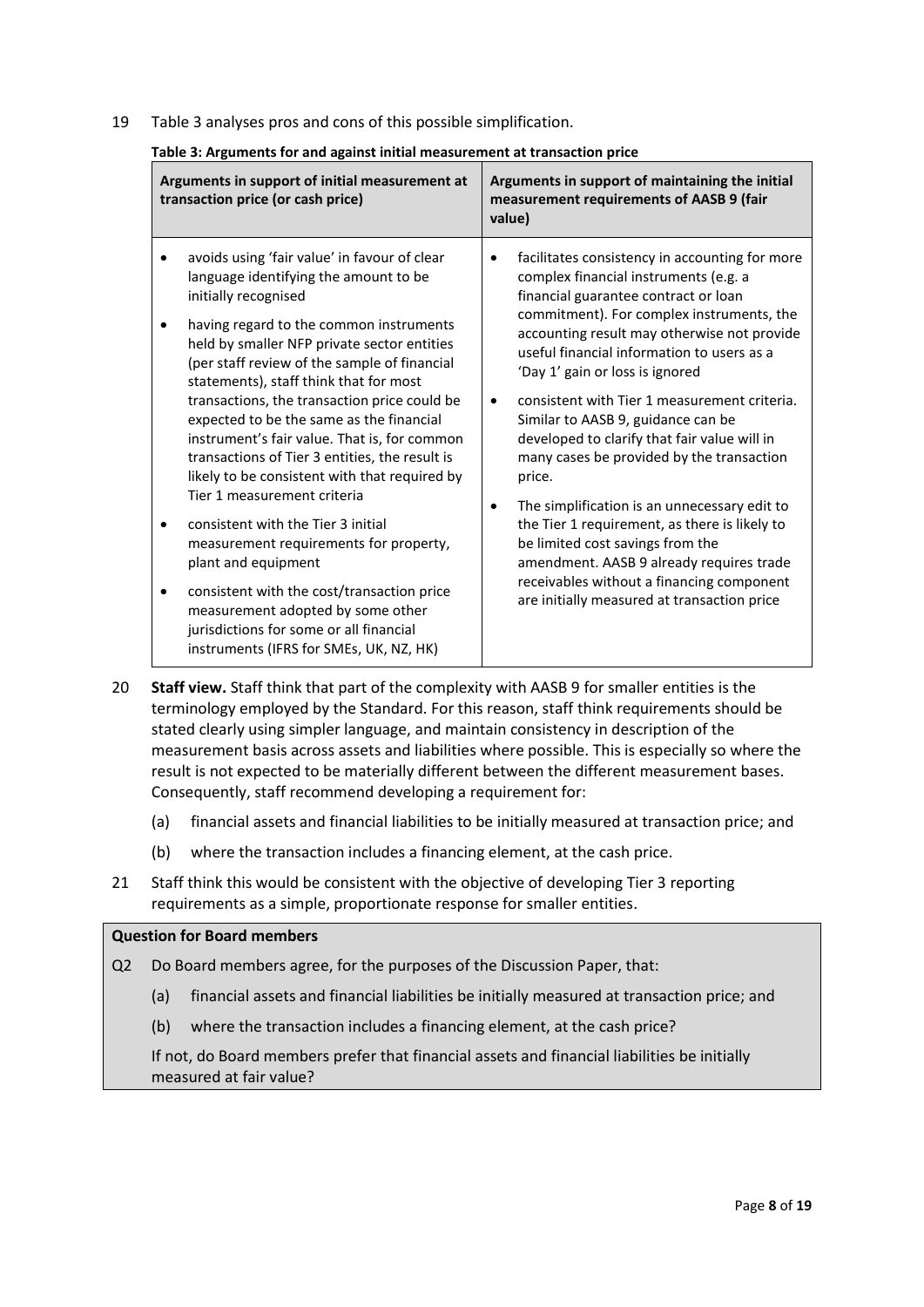19 Table 3 analyses pros and cons of this possible simplification.

| Table 3: Arguments for and against initial measurement at transaction price |  |  |
|-----------------------------------------------------------------------------|--|--|
|                                                                             |  |  |

| Arguments in support of initial measurement at<br>transaction price (or cash price)                                                                                                                                                                                                                                                                                                                                                                                                                                                                                                                                                                                                                                                                                                                                                                             | Arguments in support of maintaining the initial<br>measurement requirements of AASB 9 (fair<br>value)                                                                                                                                                                                                                                                                                                                                                                                                                                                                                                                                                                                                                                                                                               |
|-----------------------------------------------------------------------------------------------------------------------------------------------------------------------------------------------------------------------------------------------------------------------------------------------------------------------------------------------------------------------------------------------------------------------------------------------------------------------------------------------------------------------------------------------------------------------------------------------------------------------------------------------------------------------------------------------------------------------------------------------------------------------------------------------------------------------------------------------------------------|-----------------------------------------------------------------------------------------------------------------------------------------------------------------------------------------------------------------------------------------------------------------------------------------------------------------------------------------------------------------------------------------------------------------------------------------------------------------------------------------------------------------------------------------------------------------------------------------------------------------------------------------------------------------------------------------------------------------------------------------------------------------------------------------------------|
| avoids using 'fair value' in favour of clear<br>language identifying the amount to be<br>initially recognised<br>having regard to the common instruments<br>held by smaller NFP private sector entities<br>(per staff review of the sample of financial<br>statements), staff think that for most<br>transactions, the transaction price could be<br>expected to be the same as the financial<br>instrument's fair value. That is, for common<br>transactions of Tier 3 entities, the result is<br>likely to be consistent with that required by<br>Tier 1 measurement criteria<br>consistent with the Tier 3 initial<br>measurement requirements for property,<br>plant and equipment<br>consistent with the cost/transaction price<br>measurement adopted by some other<br>jurisdictions for some or all financial<br>instruments (IFRS for SMEs, UK, NZ, HK) | facilitates consistency in accounting for more<br>$\bullet$<br>complex financial instruments (e.g. a<br>financial guarantee contract or loan<br>commitment). For complex instruments, the<br>accounting result may otherwise not provide<br>useful financial information to users as a<br>'Day 1' gain or loss is ignored<br>consistent with Tier 1 measurement criteria.<br>Similar to AASB 9, guidance can be<br>developed to clarify that fair value will in<br>many cases be provided by the transaction<br>price.<br>The simplification is an unnecessary edit to<br>the Tier 1 requirement, as there is likely to<br>be limited cost savings from the<br>amendment. AASB 9 already requires trade<br>receivables without a financing component<br>are initially measured at transaction price |

20 **Staff view.** Staff think that part of the complexity with AASB 9 for smaller entities is the terminology employed by the Standard. For this reason, staff think requirements should be stated clearly using simpler language, and maintain consistency in description of the measurement basis across assets and liabilities where possible. This is especially so where the result is not expected to be materially different between the different measurement bases. Consequently, staff recommend developing a requirement for:

- (a) financial assets and financial liabilities to be initially measured at transaction price; and
- (b) where the transaction includes a financing element, at the cash price.
- 21 Staff think this would be consistent with the objective of developing Tier 3 reporting requirements as a simple, proportionate response for smaller entities.

#### **Question for Board members**

Q2 Do Board members agree, for the purposes of the Discussion Paper, that:

- (a) financial assets and financial liabilities be initially measured at transaction price; and
- (b) where the transaction includes a financing element, at the cash price?

If not, do Board members prefer that financial assets and financial liabilities be initially measured at fair value?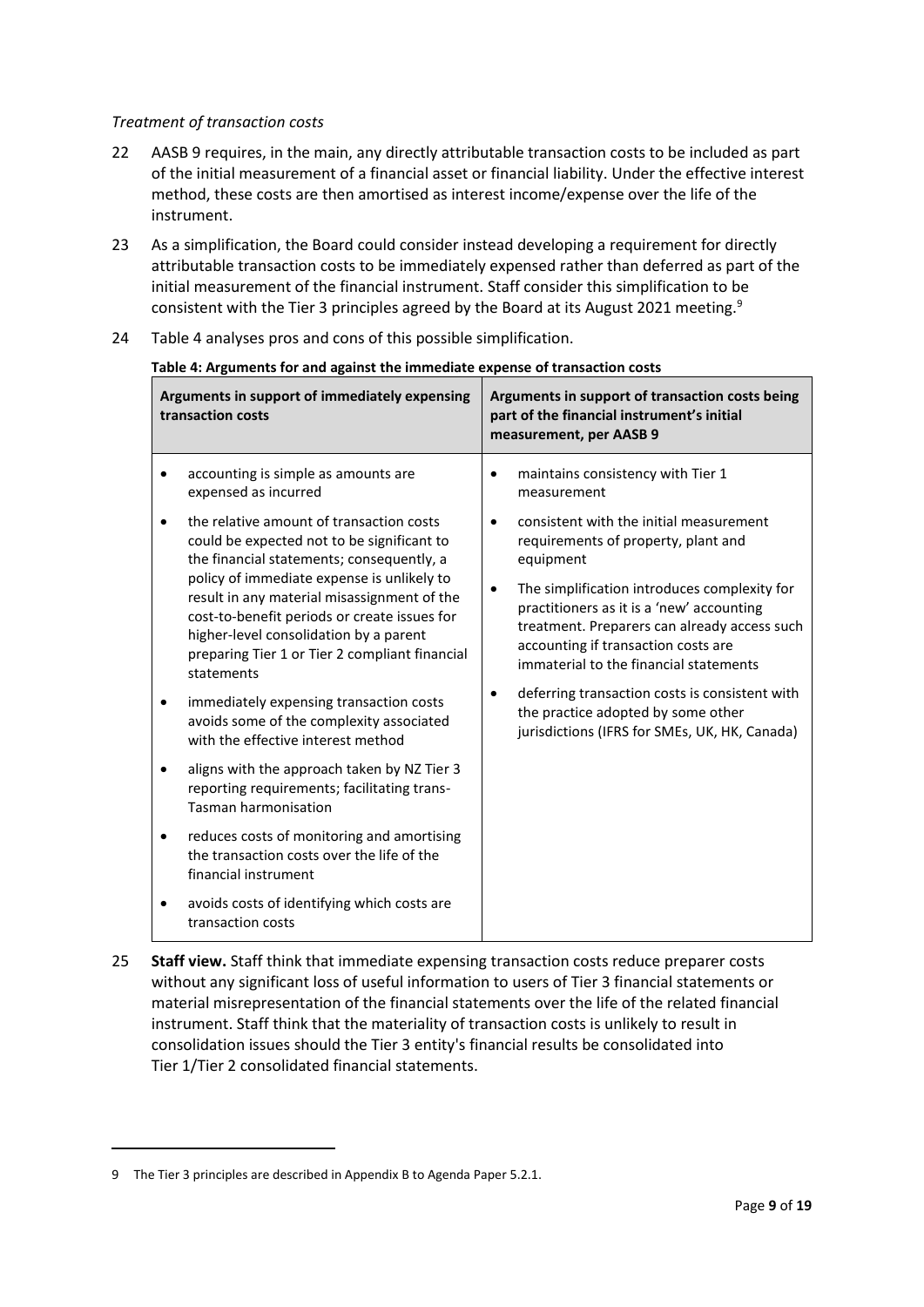#### *Treatment of transaction costs*

- 22 AASB 9 requires, in the main, any directly attributable transaction costs to be included as part of the initial measurement of a financial asset or financial liability. Under the effective interest method, these costs are then amortised as interest income/expense over the life of the instrument.
- 23 As a simplification, the Board could consider instead developing a requirement for directly attributable transaction costs to be immediately expensed rather than deferred as part of the initial measurement of the financial instrument. Staff consider this simplification to be consistent with the Tier 3 principles agreed by the Board at its August 2021 meeting.<sup>9</sup>
- 24 Table 4 analyses pros and cons of this possible simplification.

| transaction costs                 | Arguments in support of immediately expensing                                                                                                                                                                                                                                                                                                                                                                                                                                                             | Arguments in support of transaction costs being<br>part of the financial instrument's initial<br>measurement, per AASB 9                                                                                                                                                                                                                                                                                                                                                             |
|-----------------------------------|-----------------------------------------------------------------------------------------------------------------------------------------------------------------------------------------------------------------------------------------------------------------------------------------------------------------------------------------------------------------------------------------------------------------------------------------------------------------------------------------------------------|--------------------------------------------------------------------------------------------------------------------------------------------------------------------------------------------------------------------------------------------------------------------------------------------------------------------------------------------------------------------------------------------------------------------------------------------------------------------------------------|
|                                   | accounting is simple as amounts are<br>expensed as incurred                                                                                                                                                                                                                                                                                                                                                                                                                                               | maintains consistency with Tier 1<br>measurement                                                                                                                                                                                                                                                                                                                                                                                                                                     |
| $\bullet$<br>statements           | the relative amount of transaction costs<br>could be expected not to be significant to<br>the financial statements; consequently, a<br>policy of immediate expense is unlikely to<br>result in any material misassignment of the<br>cost-to-benefit periods or create issues for<br>higher-level consolidation by a parent<br>preparing Tier 1 or Tier 2 compliant financial<br>immediately expensing transaction costs<br>avoids some of the complexity associated<br>with the effective interest method | consistent with the initial measurement<br>$\bullet$<br>requirements of property, plant and<br>equipment<br>The simplification introduces complexity for<br>٠<br>practitioners as it is a 'new' accounting<br>treatment. Preparers can already access such<br>accounting if transaction costs are<br>immaterial to the financial statements<br>deferring transaction costs is consistent with<br>the practice adopted by some other<br>jurisdictions (IFRS for SMEs, UK, HK, Canada) |
| ٠                                 | aligns with the approach taken by NZ Tier 3<br>reporting requirements; facilitating trans-<br>Tasman harmonisation                                                                                                                                                                                                                                                                                                                                                                                        |                                                                                                                                                                                                                                                                                                                                                                                                                                                                                      |
| $\bullet$<br>financial instrument | reduces costs of monitoring and amortising<br>the transaction costs over the life of the                                                                                                                                                                                                                                                                                                                                                                                                                  |                                                                                                                                                                                                                                                                                                                                                                                                                                                                                      |
| transaction costs                 | avoids costs of identifying which costs are                                                                                                                                                                                                                                                                                                                                                                                                                                                               |                                                                                                                                                                                                                                                                                                                                                                                                                                                                                      |

**Table 4: Arguments for and against the immediate expense of transaction costs**

25 **Staff view.** Staff think that immediate expensing transaction costs reduce preparer costs without any significant loss of useful information to users of Tier 3 financial statements or material misrepresentation of the financial statements over the life of the related financial instrument. Staff think that the materiality of transaction costs is unlikely to result in consolidation issues should the Tier 3 entity's financial results be consolidated into Tier 1/Tier 2 consolidated financial statements.

<sup>9</sup> The Tier 3 principles are described in Appendix B to Agenda Paper 5.2.1.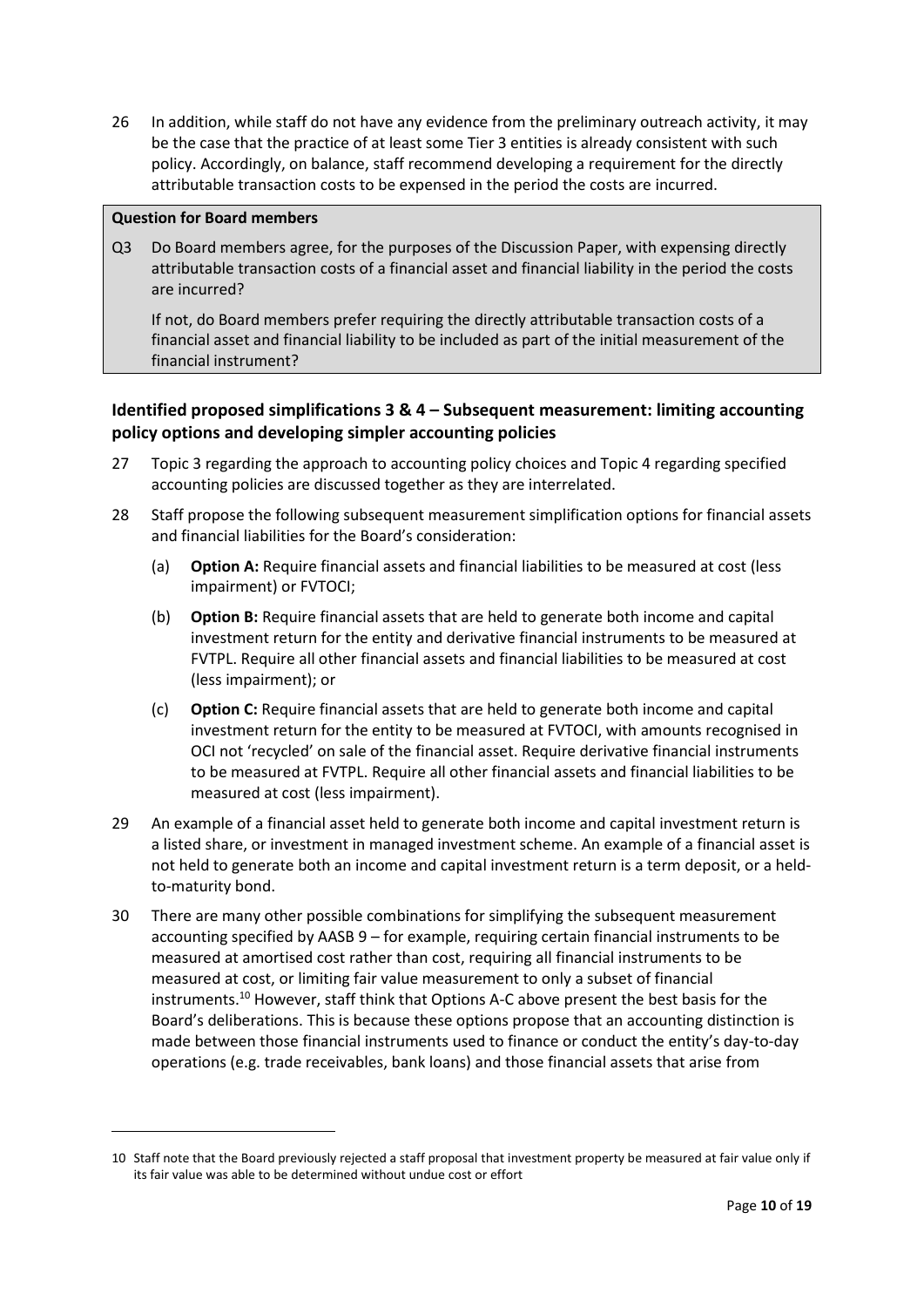<span id="page-9-0"></span>26 In addition, while staff do not have any evidence from the preliminary outreach activity, it may be the case that the practice of at least some Tier 3 entities is already consistent with such policy. Accordingly, on balance, staff recommend developing a requirement for the directly attributable transaction costs to be expensed in the period the costs are incurred.

#### **Question for Board members**

Q3 Do Board members agree, for the purposes of the Discussion Paper, with expensing directly attributable transaction costs of a financial asset and financial liability in the period the costs are incurred?

If not, do Board members prefer requiring the directly attributable transaction costs of a financial asset and financial liability to be included as part of the initial measurement of the financial instrument?

# **Identified proposed simplifications 3 & 4 – Subsequent measurement: limiting accounting policy options and developing simpler accounting policies**

- 27 Topic 3 regarding the approach to accounting policy choices and Topic 4 regarding specified accounting policies are discussed together as they are interrelated.
- 28 Staff propose the following subsequent measurement simplification options for financial assets and financial liabilities for the Board's consideration:
	- (a) **Option A:** Require financial assets and financial liabilities to be measured at cost (less impairment) or FVTOCI;
	- (b) **Option B:** Require financial assets that are held to generate both income and capital investment return for the entity and derivative financial instruments to be measured at FVTPL. Require all other financial assets and financial liabilities to be measured at cost (less impairment); or
	- (c) **Option C:** Require financial assets that are held to generate both income and capital investment return for the entity to be measured at FVTOCI, with amounts recognised in OCI not 'recycled' on sale of the financial asset. Require derivative financial instruments to be measured at FVTPL. Require all other financial assets and financial liabilities to be measured at cost (less impairment).
- 29 An example of a financial asset held to generate both income and capital investment return is a listed share, or investment in managed investment scheme. An example of a financial asset is not held to generate both an income and capital investment return is a term deposit, or a heldto-maturity bond.
- 30 There are many other possible combinations for simplifying the subsequent measurement accounting specified by AASB 9 – for example, requiring certain financial instruments to be measured at amortised cost rather than cost, requiring all financial instruments to be measured at cost, or limiting fair value measurement to only a subset of financial instruments. <sup>10</sup> However, staff think that Options A-C above present the best basis for the Board's deliberations. This is because these options propose that an accounting distinction is made between those financial instruments used to finance or conduct the entity's day-to-day operations (e.g. trade receivables, bank loans) and those financial assets that arise from

<sup>10</sup> Staff note that the Board previously rejected a staff proposal that investment property be measured at fair value only if its fair value was able to be determined without undue cost or effort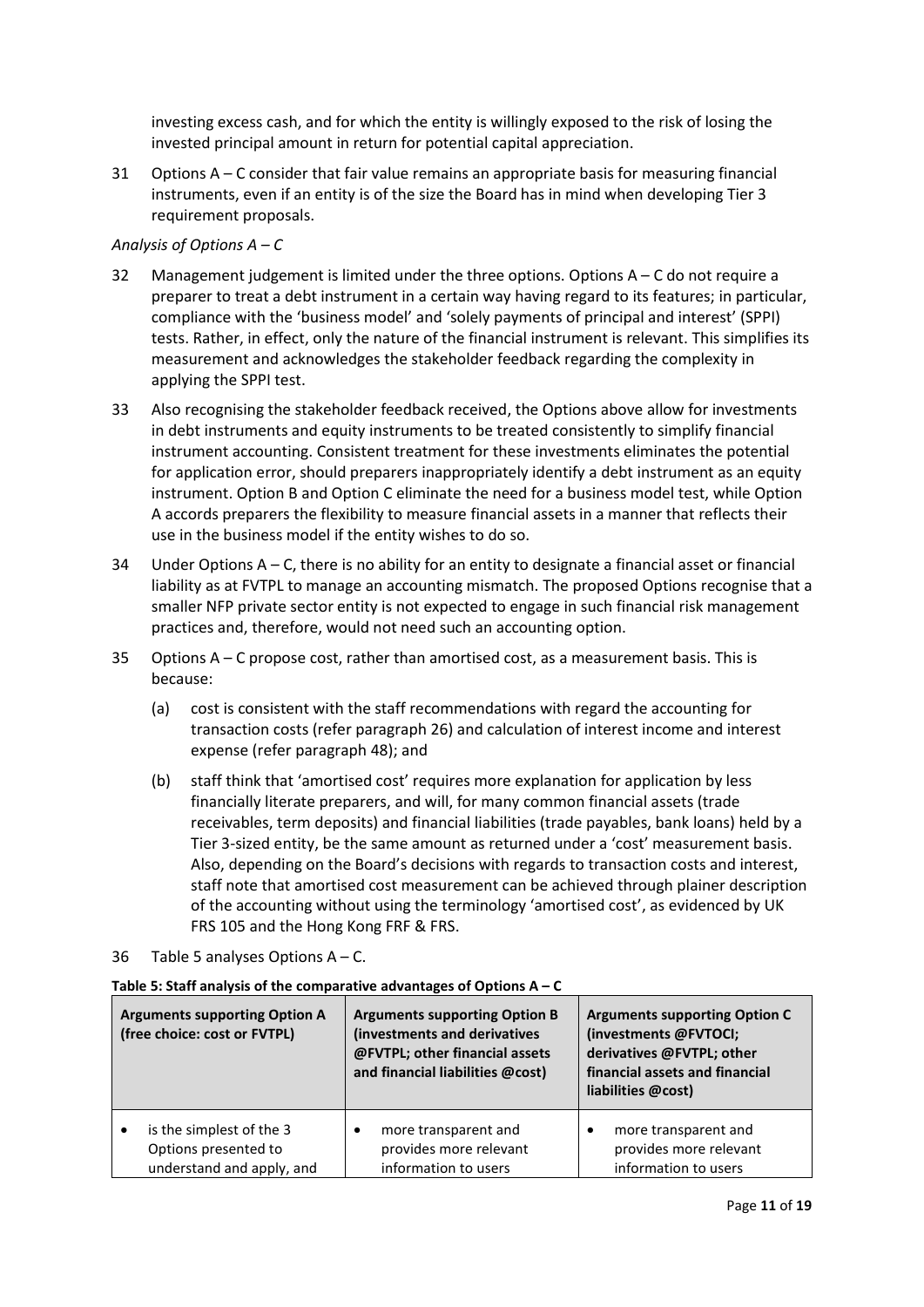investing excess cash, and for which the entity is willingly exposed to the risk of losing the invested principal amount in return for potential capital appreciation.

31 Options A – C consider that fair value remains an appropriate basis for measuring financial instruments, even if an entity is of the size the Board has in mind when developing Tier 3 requirement proposals.

#### *Analysis of Options A – C*

- 32 Management judgement is limited under the three options. Options A C do not require a preparer to treat a debt instrument in a certain way having regard to its features; in particular, compliance with the 'business model' and 'solely payments of principal and interest' (SPPI) tests. Rather, in effect, only the nature of the financial instrument is relevant. This simplifies its measurement and acknowledges the stakeholder feedback regarding the complexity in applying the SPPI test.
- 33 Also recognising the stakeholder feedback received, the Options above allow for investments in debt instruments and equity instruments to be treated consistently to simplify financial instrument accounting. Consistent treatment for these investments eliminates the potential for application error, should preparers inappropriately identify a debt instrument as an equity instrument. Option B and Option C eliminate the need for a business model test, while Option A accords preparers the flexibility to measure financial assets in a manner that reflects their use in the business model if the entity wishes to do so.
- 34 Under Options  $A C$ , there is no ability for an entity to designate a financial asset or financial liability as at FVTPL to manage an accounting mismatch. The proposed Options recognise that a smaller NFP private sector entity is not expected to engage in such financial risk management practices and, therefore, would not need such an accounting option.
- 35 Options A C propose cost, rather than amortised cost, as a measurement basis. This is because:
	- (a) cost is consistent with the staff recommendations with regard the accounting for transaction costs (refer paragraph [26\)](#page-9-0) and calculation of interest income and interest expense (refer paragraph [48\)](#page-15-0); and
	- (b) staff think that 'amortised cost' requires more explanation for application by less financially literate preparers, and will, for many common financial assets (trade receivables, term deposits) and financial liabilities (trade payables, bank loans) held by a Tier 3-sized entity, be the same amount as returned under a 'cost' measurement basis. Also, depending on the Board's decisions with regards to transaction costs and interest, staff note that amortised cost measurement can be achieved through plainer description of the accounting without using the terminology 'amortised cost', as evidenced by UK FRS 105 and the Hong Kong FRF & FRS.
- 36 Table 5 analyses Options A C.

| <b>Arguments supporting Option A</b><br>(free choice: cost or FVTPL)          | <b>Arguments supporting Option B</b><br>(investments and derivatives<br>@FVTPL; other financial assets<br>and financial liabilities @cost) | <b>Arguments supporting Option C</b><br>(investments @FVTOCI;<br>derivatives @FVTPL; other<br>financial assets and financial<br>liabilities @cost) |
|-------------------------------------------------------------------------------|--------------------------------------------------------------------------------------------------------------------------------------------|----------------------------------------------------------------------------------------------------------------------------------------------------|
| is the simplest of the 3<br>Options presented to<br>understand and apply, and | more transparent and<br>٠<br>provides more relevant<br>information to users                                                                | more transparent and<br>provides more relevant<br>information to users                                                                             |

#### **Table 5: Staff analysis of the comparative advantages of Options A – C**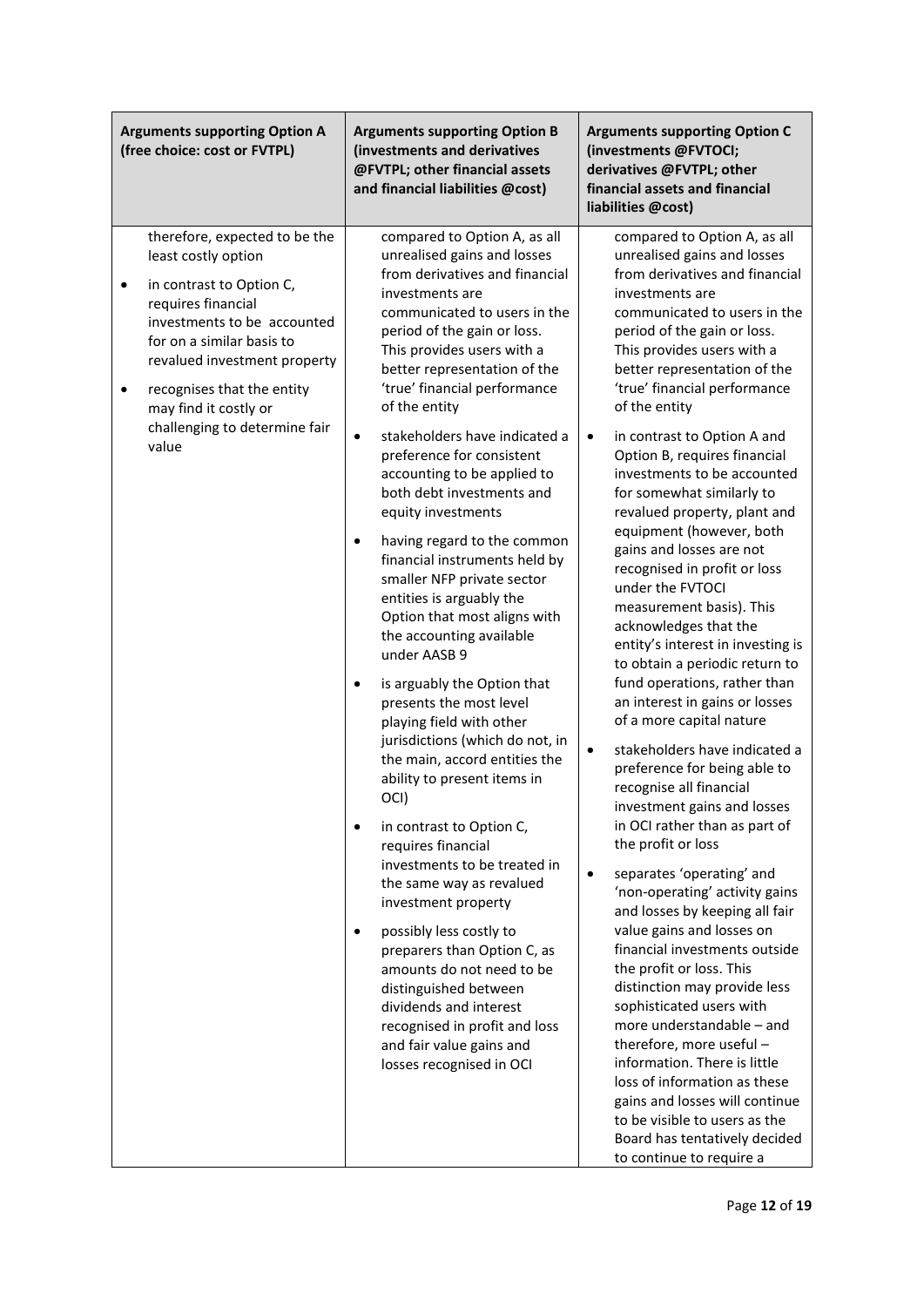| <b>Arguments supporting Option A</b><br>(free choice: cost or FVTPL)                                                                                                                                                                                                                                                          | <b>Arguments supporting Option B</b><br>(investments and derivatives<br>@FVTPL; other financial assets<br>and financial liabilities @cost)                                                                                                                                                                                                                                                                                                                                                                                                                                                                                                                                                                                                                                                                                                                                                                                                                                                                                                                                                                                                                                                                                                                                     | <b>Arguments supporting Option C</b><br>(investments @FVTOCI;<br>derivatives @FVTPL; other<br>financial assets and financial<br>liabilities @cost)                                                                                                                                                                                                                                                                                                                                                                                                                                                                                                                                                                                                                                                                                                                                                                                                                                                                                                                                                                                                                                                                                                                                                                                                                                                                                                                                                                                       |
|-------------------------------------------------------------------------------------------------------------------------------------------------------------------------------------------------------------------------------------------------------------------------------------------------------------------------------|--------------------------------------------------------------------------------------------------------------------------------------------------------------------------------------------------------------------------------------------------------------------------------------------------------------------------------------------------------------------------------------------------------------------------------------------------------------------------------------------------------------------------------------------------------------------------------------------------------------------------------------------------------------------------------------------------------------------------------------------------------------------------------------------------------------------------------------------------------------------------------------------------------------------------------------------------------------------------------------------------------------------------------------------------------------------------------------------------------------------------------------------------------------------------------------------------------------------------------------------------------------------------------|------------------------------------------------------------------------------------------------------------------------------------------------------------------------------------------------------------------------------------------------------------------------------------------------------------------------------------------------------------------------------------------------------------------------------------------------------------------------------------------------------------------------------------------------------------------------------------------------------------------------------------------------------------------------------------------------------------------------------------------------------------------------------------------------------------------------------------------------------------------------------------------------------------------------------------------------------------------------------------------------------------------------------------------------------------------------------------------------------------------------------------------------------------------------------------------------------------------------------------------------------------------------------------------------------------------------------------------------------------------------------------------------------------------------------------------------------------------------------------------------------------------------------------------|
| therefore, expected to be the<br>least costly option<br>in contrast to Option C,<br>$\bullet$<br>requires financial<br>investments to be accounted<br>for on a similar basis to<br>revalued investment property<br>recognises that the entity<br>$\bullet$<br>may find it costly or<br>challenging to determine fair<br>value | compared to Option A, as all<br>unrealised gains and losses<br>from derivatives and financial<br>investments are<br>communicated to users in the<br>period of the gain or loss.<br>This provides users with a<br>better representation of the<br>'true' financial performance<br>of the entity<br>stakeholders have indicated a<br>$\bullet$<br>preference for consistent<br>accounting to be applied to<br>both debt investments and<br>equity investments<br>having regard to the common<br>٠<br>financial instruments held by<br>smaller NFP private sector<br>entities is arguably the<br>Option that most aligns with<br>the accounting available<br>under AASB 9<br>is arguably the Option that<br>$\bullet$<br>presents the most level<br>playing field with other<br>jurisdictions (which do not, in<br>the main, accord entities the<br>ability to present items in<br>OCI)<br>in contrast to Option C,<br>$\bullet$<br>requires financial<br>investments to be treated in<br>the same way as revalued<br>investment property<br>possibly less costly to<br>٠<br>preparers than Option C, as<br>amounts do not need to be<br>distinguished between<br>dividends and interest<br>recognised in profit and loss<br>and fair value gains and<br>losses recognised in OCI | compared to Option A, as all<br>unrealised gains and losses<br>from derivatives and financial<br>investments are<br>communicated to users in the<br>period of the gain or loss.<br>This provides users with a<br>better representation of the<br>'true' financial performance<br>of the entity<br>in contrast to Option A and<br>$\bullet$<br>Option B, requires financial<br>investments to be accounted<br>for somewhat similarly to<br>revalued property, plant and<br>equipment (however, both<br>gains and losses are not<br>recognised in profit or loss<br>under the FVTOCI<br>measurement basis). This<br>acknowledges that the<br>entity's interest in investing is<br>to obtain a periodic return to<br>fund operations, rather than<br>an interest in gains or losses<br>of a more capital nature<br>$\bullet$<br>stakeholders have indicated a<br>preference for being able to<br>recognise all financial<br>investment gains and losses<br>in OCI rather than as part of<br>the profit or loss<br>separates 'operating' and<br>$\bullet$<br>'non-operating' activity gains<br>and losses by keeping all fair<br>value gains and losses on<br>financial investments outside<br>the profit or loss. This<br>distinction may provide less<br>sophisticated users with<br>more understandable - and<br>therefore, more useful -<br>information. There is little<br>loss of information as these<br>gains and losses will continue<br>to be visible to users as the<br>Board has tentatively decided<br>to continue to require a |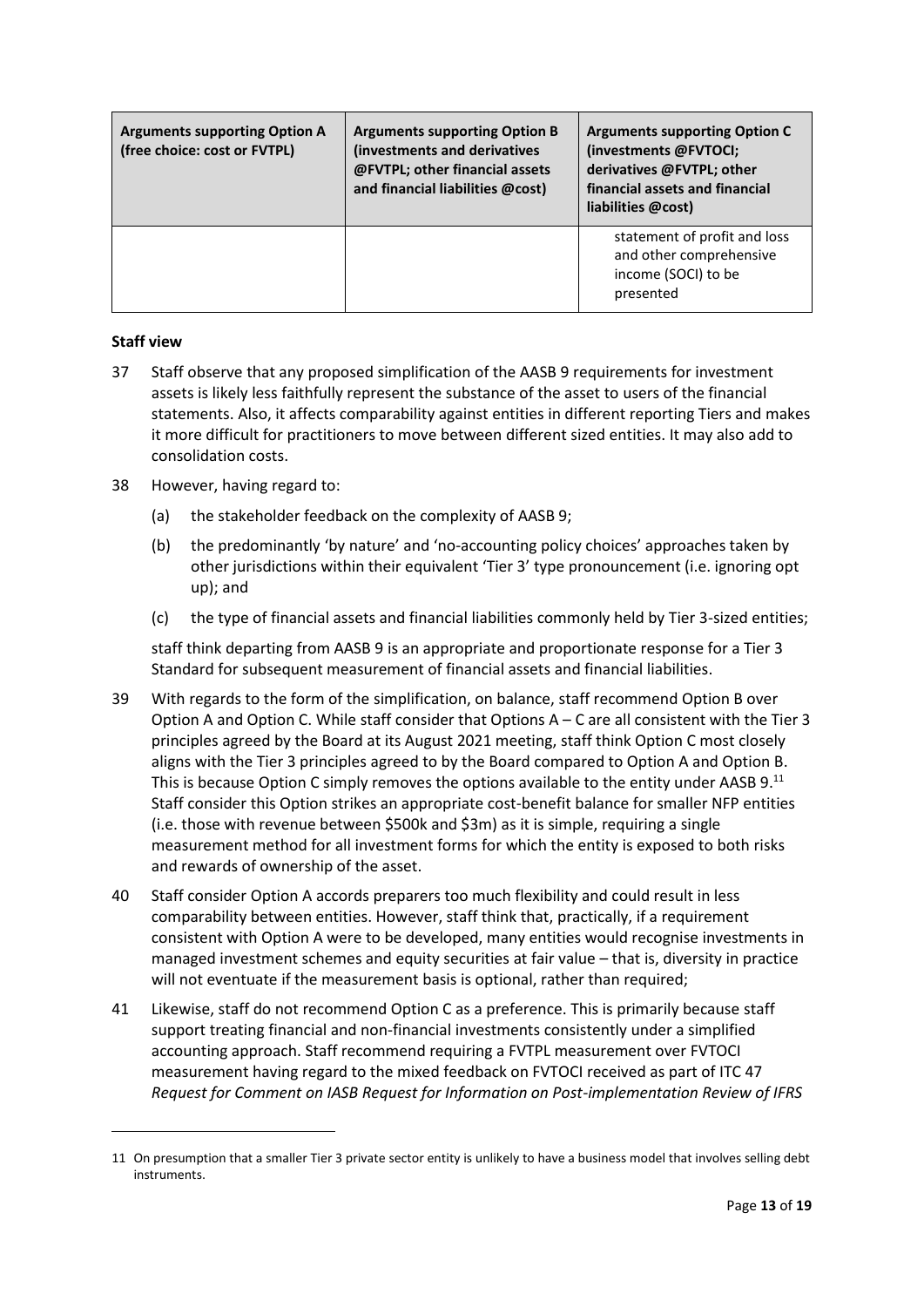| <b>Arguments supporting Option A</b><br>(free choice: cost or FVTPL) | <b>Arguments supporting Option B</b><br>(investments and derivatives<br>@FVTPL; other financial assets<br>and financial liabilities @cost) | <b>Arguments supporting Option C</b><br>(investments @FVTOCI;<br>derivatives @FVTPL; other<br>financial assets and financial<br>liabilities @cost) |
|----------------------------------------------------------------------|--------------------------------------------------------------------------------------------------------------------------------------------|----------------------------------------------------------------------------------------------------------------------------------------------------|
|                                                                      |                                                                                                                                            | statement of profit and loss<br>and other comprehensive<br>income (SOCI) to be<br>presented                                                        |

## **Staff view**

- 37 Staff observe that any proposed simplification of the AASB 9 requirements for investment assets is likely less faithfully represent the substance of the asset to users of the financial statements. Also, it affects comparability against entities in different reporting Tiers and makes it more difficult for practitioners to move between different sized entities. It may also add to consolidation costs.
- 38 However, having regard to:
	- (a) the stakeholder feedback on the complexity of AASB 9;
	- (b) the predominantly 'by nature' and 'no-accounting policy choices' approaches taken by other jurisdictions within their equivalent 'Tier 3' type pronouncement (i.e. ignoring opt up); and
	- (c) the type of financial assets and financial liabilities commonly held by Tier 3-sized entities;

staff think departing from AASB 9 is an appropriate and proportionate response for a Tier 3 Standard for subsequent measurement of financial assets and financial liabilities.

- 39 With regards to the form of the simplification, on balance, staff recommend Option B over Option A and Option C. While staff consider that Options A – C are all consistent with the Tier 3 principles agreed by the Board at its August 2021 meeting, staff think Option C most closely aligns with the Tier 3 principles agreed to by the Board compared to Option A and Option B. This is because Option C simply removes the options available to the entity under AASB  $9^{11}$ Staff consider this Option strikes an appropriate cost-benefit balance for smaller NFP entities (i.e. those with revenue between \$500k and \$3m) as it is simple, requiring a single measurement method for all investment forms for which the entity is exposed to both risks and rewards of ownership of the asset.
- 40 Staff consider Option A accords preparers too much flexibility and could result in less comparability between entities. However, staff think that, practically, if a requirement consistent with Option A were to be developed, many entities would recognise investments in managed investment schemes and equity securities at fair value – that is, diversity in practice will not eventuate if the measurement basis is optional, rather than required;
- 41 Likewise, staff do not recommend Option C as a preference. This is primarily because staff support treating financial and non-financial investments consistently under a simplified accounting approach. Staff recommend requiring a FVTPL measurement over FVTOCI measurement having regard to the mixed feedback on FVTOCI received as part of ITC 47 *Request for Comment on IASB Request for Information on Post-implementation Review of IFRS*

<sup>11</sup> On presumption that a smaller Tier 3 private sector entity is unlikely to have a business model that involves selling debt instruments.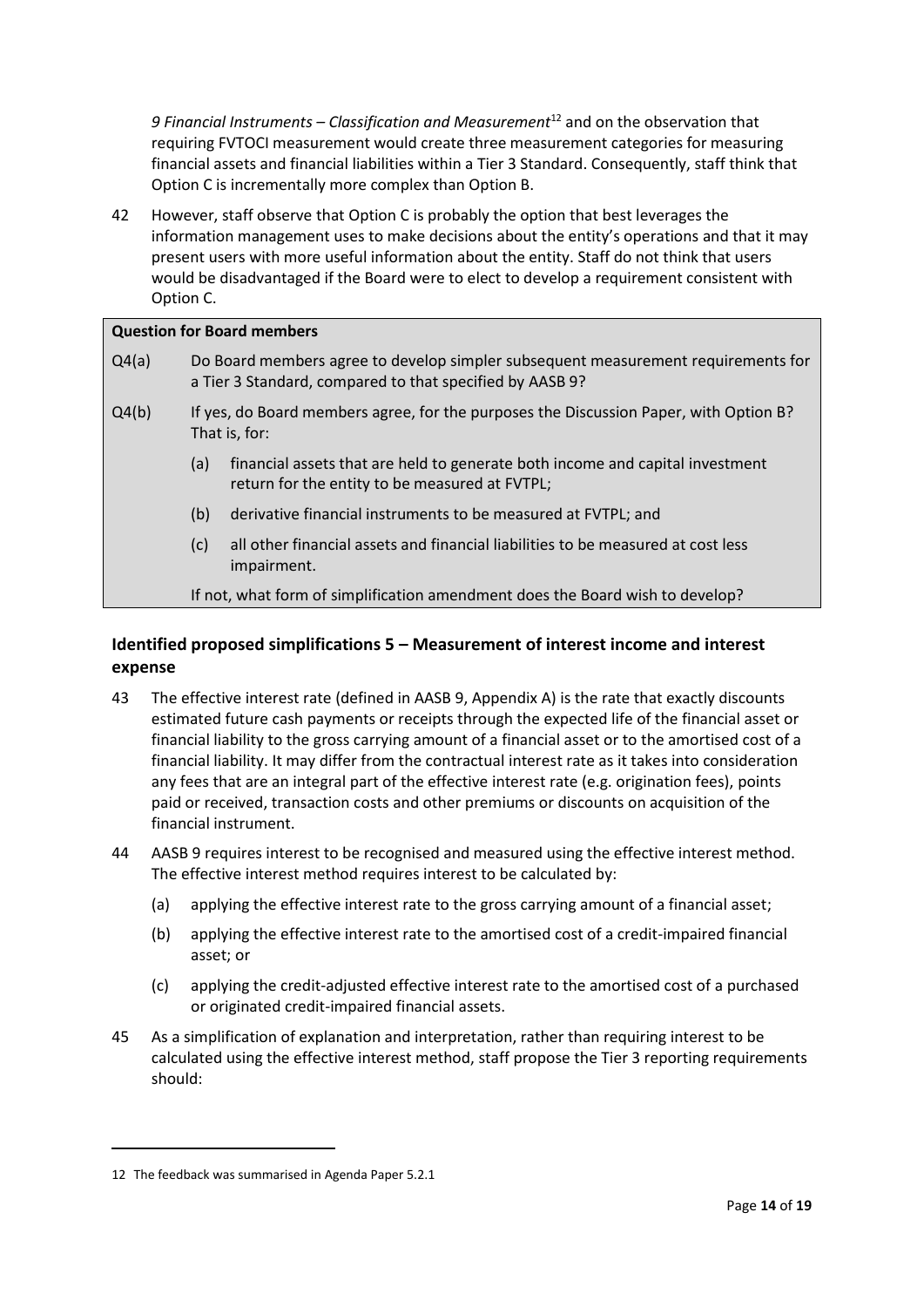*9 Financial Instruments – Classification and Measurement*<sup>12</sup> and on the observation that requiring FVTOCI measurement would create three measurement categories for measuring financial assets and financial liabilities within a Tier 3 Standard. Consequently, staff think that Option C is incrementally more complex than Option B.

42 However, staff observe that Option C is probably the option that best leverages the information management uses to make decisions about the entity's operations and that it may present users with more useful information about the entity. Staff do not think that users would be disadvantaged if the Board were to elect to develop a requirement consistent with Option C.

### **Question for Board members**

- Q4(a) Do Board members agree to develop simpler subsequent measurement requirements for a Tier 3 Standard, compared to that specified by AASB 9?
- Q4(b) If yes, do Board members agree, for the purposes the Discussion Paper, with Option B? That is, for:
	- (a) financial assets that are held to generate both income and capital investment return for the entity to be measured at FVTPL;
	- (b) derivative financial instruments to be measured at FVTPL; and
	- (c) all other financial assets and financial liabilities to be measured at cost less impairment.

If not, what form of simplification amendment does the Board wish to develop?

# **Identified proposed simplifications 5 – Measurement of interest income and interest expense**

- 43 The effective interest rate (defined in AASB 9, Appendix A) is the rate that exactly discounts estimated future cash payments or receipts through the expected life of the financial asset or financial liability to the gross carrying amount of a financial asset or to the amortised cost of a financial liability. It may differ from the contractual interest rate as it takes into consideration any fees that are an integral part of the effective interest rate (e.g. origination fees), points paid or received, transaction costs and other premiums or discounts on acquisition of the financial instrument.
- 44 AASB 9 requires interest to be recognised and measured using the effective interest method. The effective interest method requires interest to be calculated by:
	- (a) applying the effective interest rate to the gross carrying amount of a financial asset;
	- (b) applying the effective interest rate to the amortised cost of a credit-impaired financial asset; or
	- (c) applying the credit-adjusted effective interest rate to the amortised cost of a purchased or originated credit-impaired financial assets.
- 45 As a simplification of explanation and interpretation, rather than requiring interest to be calculated using the effective interest method, staff propose the Tier 3 reporting requirements should:

<sup>12</sup> The feedback was summarised in Agenda Paper 5.2.1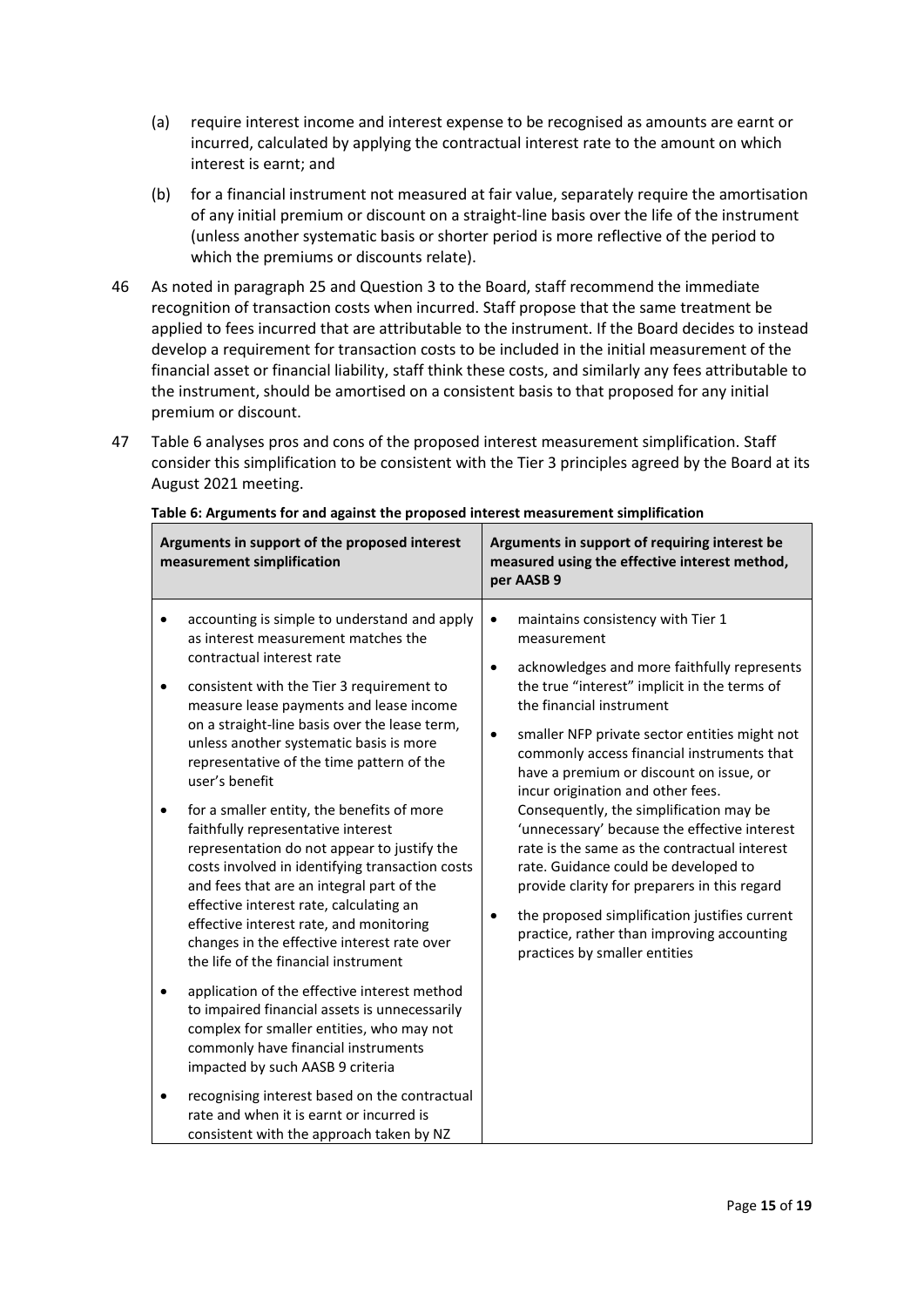- (a) require interest income and interest expense to be recognised as amounts are earnt or incurred, calculated by applying the contractual interest rate to the amount on which interest is earnt; and
- (b) for a financial instrument not measured at fair value, separately require the amortisation of any initial premium or discount on a straight-line basis over the life of the instrument (unless another systematic basis or shorter period is more reflective of the period to which the premiums or discounts relate).
- 46 As noted in paragraph 25 and Question 3 to the Board, staff recommend the immediate recognition of transaction costs when incurred. Staff propose that the same treatment be applied to fees incurred that are attributable to the instrument. If the Board decides to instead develop a requirement for transaction costs to be included in the initial measurement of the financial asset or financial liability, staff think these costs, and similarly any fees attributable to the instrument, should be amortised on a consistent basis to that proposed for any initial premium or discount.
- 47 Table 6 analyses pros and cons of the proposed interest measurement simplification. Staff consider this simplification to be consistent with the Tier 3 principles agreed by the Board at its August 2021 meeting.

|   | Arguments in support of the proposed interest<br>measurement simplification                                                                                                                                                                                                                                                                                                                                  | Arguments in support of requiring interest be<br>measured using the effective interest method,<br>per AASB 9                                                                                                                                                                                                                                                                                      |
|---|--------------------------------------------------------------------------------------------------------------------------------------------------------------------------------------------------------------------------------------------------------------------------------------------------------------------------------------------------------------------------------------------------------------|---------------------------------------------------------------------------------------------------------------------------------------------------------------------------------------------------------------------------------------------------------------------------------------------------------------------------------------------------------------------------------------------------|
| ٠ | accounting is simple to understand and apply<br>as interest measurement matches the<br>contractual interest rate<br>consistent with the Tier 3 requirement to<br>measure lease payments and lease income<br>on a straight-line basis over the lease term,<br>unless another systematic basis is more<br>representative of the time pattern of the<br>user's benefit                                          | maintains consistency with Tier 1<br>$\bullet$<br>measurement<br>acknowledges and more faithfully represents<br>$\bullet$<br>the true "interest" implicit in the terms of<br>the financial instrument<br>smaller NFP private sector entities might not<br>$\bullet$<br>commonly access financial instruments that<br>have a premium or discount on issue, or<br>incur origination and other fees. |
| ٠ | for a smaller entity, the benefits of more<br>faithfully representative interest<br>representation do not appear to justify the<br>costs involved in identifying transaction costs<br>and fees that are an integral part of the<br>effective interest rate, calculating an<br>effective interest rate, and monitoring<br>changes in the effective interest rate over<br>the life of the financial instrument | Consequently, the simplification may be<br>'unnecessary' because the effective interest<br>rate is the same as the contractual interest<br>rate. Guidance could be developed to<br>provide clarity for preparers in this regard<br>the proposed simplification justifies current<br>practice, rather than improving accounting<br>practices by smaller entities                                   |
| ٠ | application of the effective interest method<br>to impaired financial assets is unnecessarily<br>complex for smaller entities, who may not<br>commonly have financial instruments<br>impacted by such AASB 9 criteria                                                                                                                                                                                        |                                                                                                                                                                                                                                                                                                                                                                                                   |
|   | recognising interest based on the contractual<br>rate and when it is earnt or incurred is<br>consistent with the approach taken by NZ                                                                                                                                                                                                                                                                        |                                                                                                                                                                                                                                                                                                                                                                                                   |

**Table 6: Arguments for and against the proposed interest measurement simplification**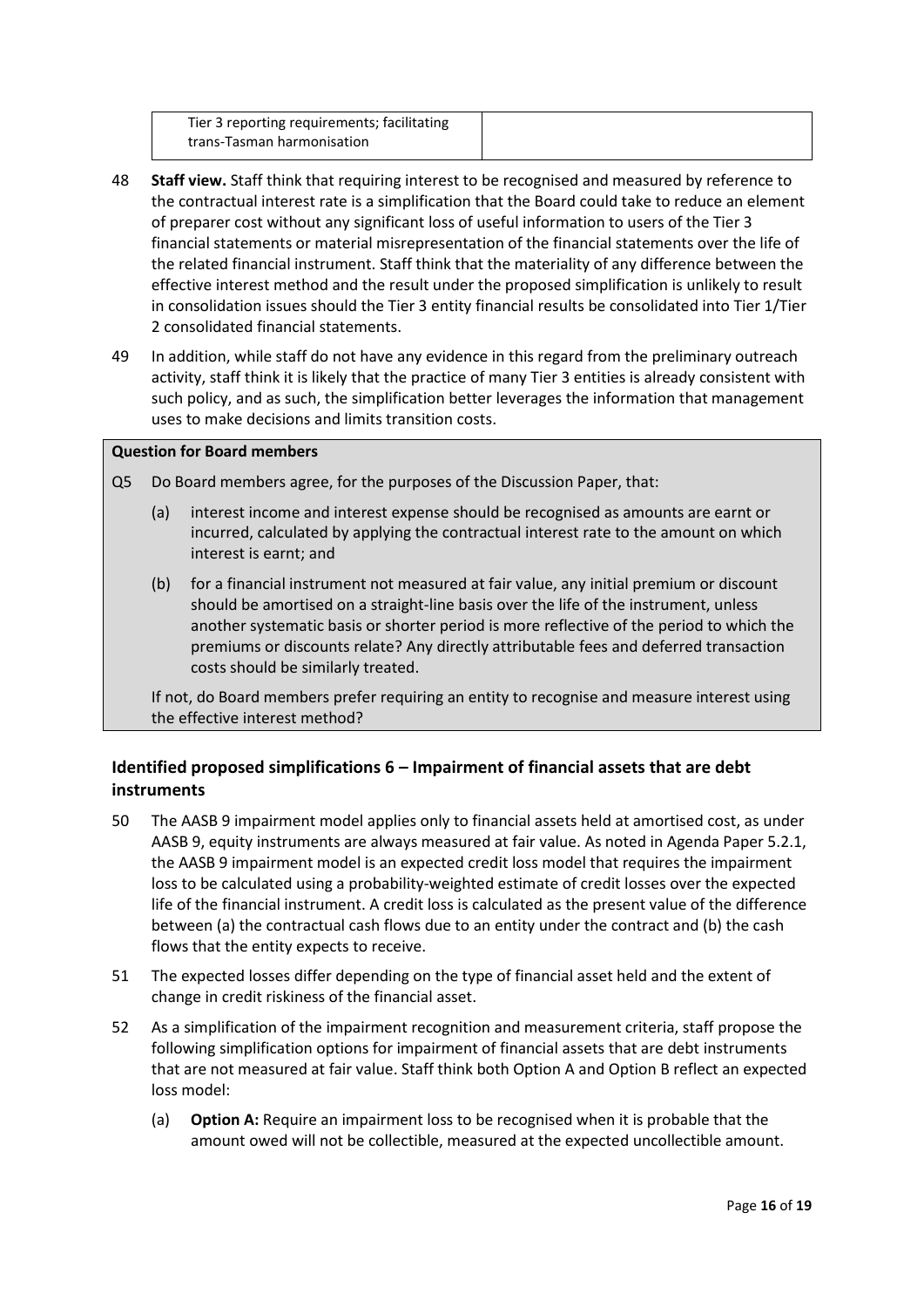| Tier 3 reporting requirements; facilitating |
|---------------------------------------------|
| trans-Tasman harmonisation                  |
|                                             |

- <span id="page-15-0"></span>48 **Staff view.** Staff think that requiring interest to be recognised and measured by reference to the contractual interest rate is a simplification that the Board could take to reduce an element of preparer cost without any significant loss of useful information to users of the Tier 3 financial statements or material misrepresentation of the financial statements over the life of the related financial instrument. Staff think that the materiality of any difference between the effective interest method and the result under the proposed simplification is unlikely to result in consolidation issues should the Tier 3 entity financial results be consolidated into Tier 1/Tier 2 consolidated financial statements.
- 49 In addition, while staff do not have any evidence in this regard from the preliminary outreach activity, staff think it is likely that the practice of many Tier 3 entities is already consistent with such policy, and as such, the simplification better leverages the information that management uses to make decisions and limits transition costs.

### **Question for Board members**

- Q5 Do Board members agree, for the purposes of the Discussion Paper, that:
	- (a) interest income and interest expense should be recognised as amounts are earnt or incurred, calculated by applying the contractual interest rate to the amount on which interest is earnt; and
	- (b) for a financial instrument not measured at fair value, any initial premium or discount should be amortised on a straight-line basis over the life of the instrument, unless another systematic basis or shorter period is more reflective of the period to which the premiums or discounts relate? Any directly attributable fees and deferred transaction costs should be similarly treated.

If not, do Board members prefer requiring an entity to recognise and measure interest using the effective interest method?

# **Identified proposed simplifications 6 – Impairment of financial assets that are debt instruments**

- 50 The AASB 9 impairment model applies only to financial assets held at amortised cost, as under AASB 9, equity instruments are always measured at fair value. As noted in Agenda Paper 5.2.1, the AASB 9 impairment model is an expected credit loss model that requires the impairment loss to be calculated using a probability-weighted estimate of credit losses over the expected life of the financial instrument. A credit loss is calculated as the present value of the difference between (a) the contractual cash flows due to an entity under the contract and (b) the cash flows that the entity expects to receive.
- 51 The expected losses differ depending on the type of financial asset held and the extent of change in credit riskiness of the financial asset.
- 52 As a simplification of the impairment recognition and measurement criteria, staff propose the following simplification options for impairment of financial assets that are debt instruments that are not measured at fair value. Staff think both Option A and Option B reflect an expected loss model:
	- (a) **Option A:** Require an impairment loss to be recognised when it is probable that the amount owed will not be collectible, measured at the expected uncollectible amount.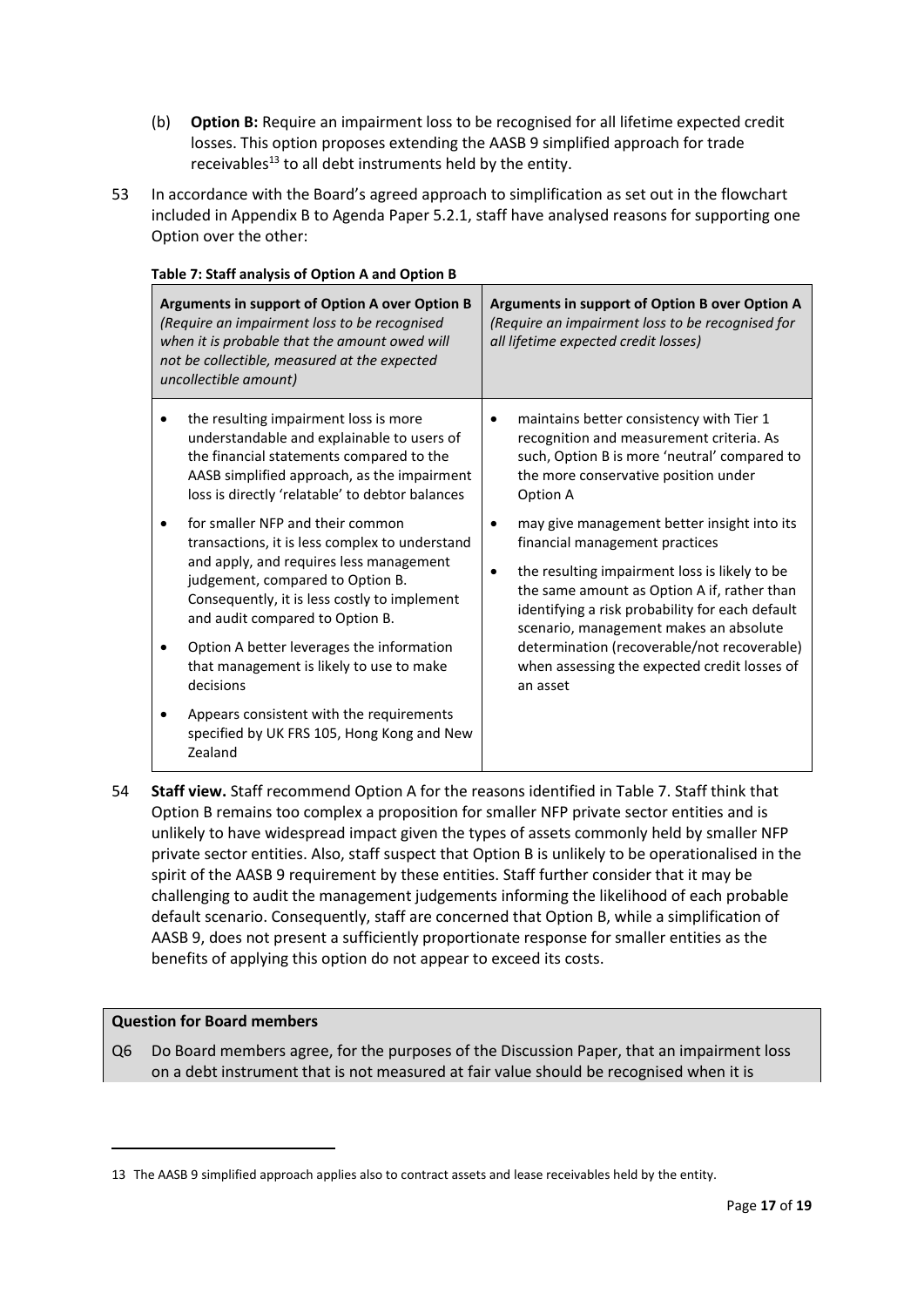- (b) **Option B:** Require an impairment loss to be recognised for all lifetime expected credit losses. This option proposes extending the AASB 9 simplified approach for trade receivables<sup>13</sup> to all debt instruments held by the entity.
- 53 In accordance with the Board's agreed approach to simplification as set out in the flowchart included in Appendix B to Agenda Paper 5.2.1, staff have analysed reasons for supporting one Option over the other:

| sic 7 . Starf analysis or Option A and Option B<br>Arguments in support of Option A over Option B<br>(Require an impairment loss to be recognised<br>when it is probable that the amount owed will<br>not be collectible, measured at the expected<br>uncollectible amount) |                                                                                                                                                                                                                                                      | Arguments in support of Option B over Option A<br>(Require an impairment loss to be recognised for<br>all lifetime expected credit losses)                                                                                                                                                                                                                                                      |                                                                                                                                                                                          |
|-----------------------------------------------------------------------------------------------------------------------------------------------------------------------------------------------------------------------------------------------------------------------------|------------------------------------------------------------------------------------------------------------------------------------------------------------------------------------------------------------------------------------------------------|-------------------------------------------------------------------------------------------------------------------------------------------------------------------------------------------------------------------------------------------------------------------------------------------------------------------------------------------------------------------------------------------------|------------------------------------------------------------------------------------------------------------------------------------------------------------------------------------------|
|                                                                                                                                                                                                                                                                             | the resulting impairment loss is more<br>understandable and explainable to users of<br>the financial statements compared to the<br>AASB simplified approach, as the impairment<br>loss is directly 'relatable' to debtor balances                    | ٠                                                                                                                                                                                                                                                                                                                                                                                               | maintains better consistency with Tier 1<br>recognition and measurement criteria. As<br>such, Option B is more 'neutral' compared to<br>the more conservative position under<br>Option A |
|                                                                                                                                                                                                                                                                             | for smaller NFP and their common<br>transactions, it is less complex to understand<br>and apply, and requires less management<br>judgement, compared to Option B.<br>Consequently, it is less costly to implement<br>and audit compared to Option B. | may give management better insight into its<br>٠<br>financial management practices<br>the resulting impairment loss is likely to be<br>٠<br>the same amount as Option A if, rather than<br>identifying a risk probability for each default<br>scenario, management makes an absolute<br>determination (recoverable/not recoverable)<br>when assessing the expected credit losses of<br>an asset |                                                                                                                                                                                          |
|                                                                                                                                                                                                                                                                             | Option A better leverages the information<br>that management is likely to use to make<br>decisions                                                                                                                                                   |                                                                                                                                                                                                                                                                                                                                                                                                 |                                                                                                                                                                                          |
|                                                                                                                                                                                                                                                                             | Appears consistent with the requirements<br>specified by UK FRS 105, Hong Kong and New<br>Zealand                                                                                                                                                    |                                                                                                                                                                                                                                                                                                                                                                                                 |                                                                                                                                                                                          |

#### **Table 7: Staff analysis of Option A and Option B**

54 **Staff view.** Staff recommend Option A for the reasons identified in Table 7. Staff think that Option B remains too complex a proposition for smaller NFP private sector entities and is unlikely to have widespread impact given the types of assets commonly held by smaller NFP private sector entities. Also, staff suspect that Option B is unlikely to be operationalised in the spirit of the AASB 9 requirement by these entities. Staff further consider that it may be challenging to audit the management judgements informing the likelihood of each probable default scenario. Consequently, staff are concerned that Option B, while a simplification of AASB 9, does not present a sufficiently proportionate response for smaller entities as the benefits of applying this option do not appear to exceed its costs.

### **Question for Board members**

Q6 Do Board members agree, for the purposes of the Discussion Paper, that an impairment loss on a debt instrument that is not measured at fair value should be recognised when it is

<sup>13</sup> The AASB 9 simplified approach applies also to contract assets and lease receivables held by the entity.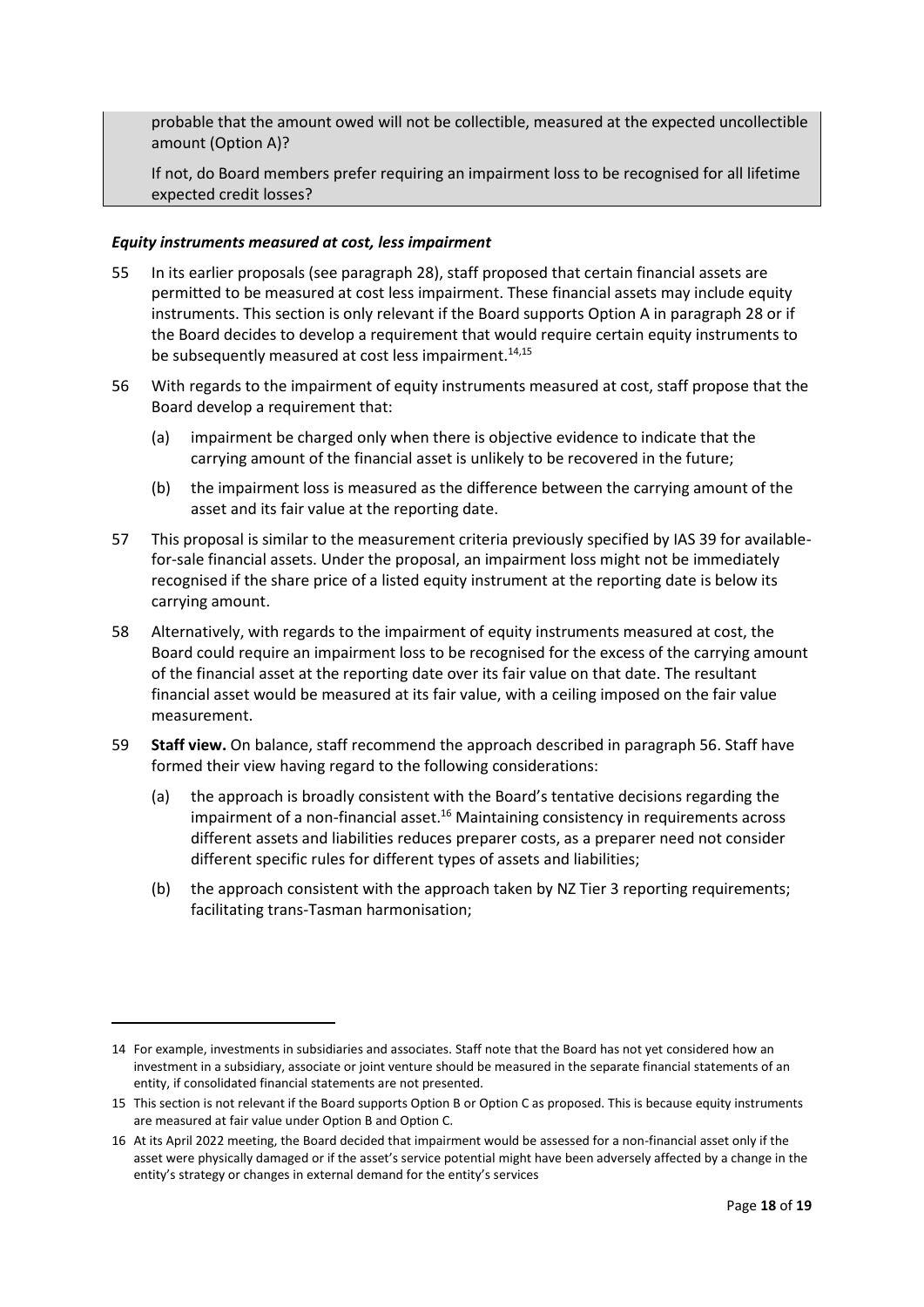probable that the amount owed will not be collectible, measured at the expected uncollectible amount (Option A)?

If not, do Board members prefer requiring an impairment loss to be recognised for all lifetime expected credit losses?

#### *Equity instruments measured at cost, less impairment*

- 55 In its earlier proposals (see paragraph 28), staff proposed that certain financial assets are permitted to be measured at cost less impairment. These financial assets may include equity instruments. This section is only relevant if the Board supports Option A in paragraph 28 or if the Board decides to develop a requirement that would require certain equity instruments to be subsequently measured at cost less impairment.<sup>14,15</sup>
- 56 With regards to the impairment of equity instruments measured at cost, staff propose that the Board develop a requirement that:
	- (a) impairment be charged only when there is objective evidence to indicate that the carrying amount of the financial asset is unlikely to be recovered in the future;
	- (b) the impairment loss is measured as the difference between the carrying amount of the asset and its fair value at the reporting date.
- 57 This proposal is similar to the measurement criteria previously specified by IAS 39 for availablefor-sale financial assets. Under the proposal, an impairment loss might not be immediately recognised if the share price of a listed equity instrument at the reporting date is below its carrying amount.
- 58 Alternatively, with regards to the impairment of equity instruments measured at cost, the Board could require an impairment loss to be recognised for the excess of the carrying amount of the financial asset at the reporting date over its fair value on that date. The resultant financial asset would be measured at its fair value, with a ceiling imposed on the fair value measurement.
- 59 **Staff view.** On balance, staff recommend the approach described in paragraph 56. Staff have formed their view having regard to the following considerations:
	- (a) the approach is broadly consistent with the Board's tentative decisions regarding the impairment of a non-financial asset.<sup>16</sup> Maintaining consistency in requirements across different assets and liabilities reduces preparer costs, as a preparer need not consider different specific rules for different types of assets and liabilities;
	- (b) the approach consistent with the approach taken by NZ Tier 3 reporting requirements; facilitating trans-Tasman harmonisation;

<sup>14</sup> For example, investments in subsidiaries and associates. Staff note that the Board has not yet considered how an investment in a subsidiary, associate or joint venture should be measured in the separate financial statements of an entity, if consolidated financial statements are not presented.

<sup>15</sup> This section is not relevant if the Board supports Option B or Option C as proposed. This is because equity instruments are measured at fair value under Option B and Option C.

<sup>16</sup> At its April 2022 meeting, the Board decided that impairment would be assessed for a non-financial asset only if the asset were physically damaged or if the asset's service potential might have been adversely affected by a change in the entity's strategy or changes in external demand for the entity's services